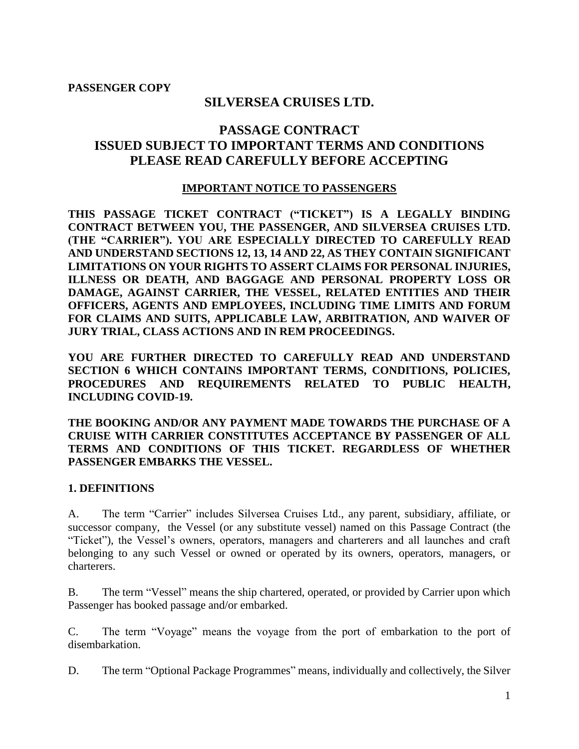## **SILVERSEA CRUISES LTD.**

# **PASSAGE CONTRACT ISSUED SUBJECT TO IMPORTANT TERMS AND CONDITIONS PLEASE READ CAREFULLY BEFORE ACCEPTING**

#### **IMPORTANT NOTICE TO PASSENGERS**

**THIS PASSAGE TICKET CONTRACT ("TICKET") IS A LEGALLY BINDING CONTRACT BETWEEN YOU, THE PASSENGER, AND SILVERSEA CRUISES LTD. (THE "CARRIER"). YOU ARE ESPECIALLY DIRECTED TO CAREFULLY READ AND UNDERSTAND SECTIONS 12, 13, 14 AND 22, AS THEY CONTAIN SIGNIFICANT LIMITATIONS ON YOUR RIGHTS TO ASSERT CLAIMS FOR PERSONAL INJURIES, ILLNESS OR DEATH, AND BAGGAGE AND PERSONAL PROPERTY LOSS OR DAMAGE, AGAINST CARRIER, THE VESSEL, RELATED ENTITIES AND THEIR OFFICERS, AGENTS AND EMPLOYEES, INCLUDING TIME LIMITS AND FORUM FOR CLAIMS AND SUITS, APPLICABLE LAW, ARBITRATION, AND WAIVER OF JURY TRIAL, CLASS ACTIONS AND IN REM PROCEEDINGS.**

**YOU ARE FURTHER DIRECTED TO CAREFULLY READ AND UNDERSTAND SECTION 6 WHICH CONTAINS IMPORTANT TERMS, CONDITIONS, POLICIES, PROCEDURES AND REQUIREMENTS RELATED TO PUBLIC HEALTH, INCLUDING COVID-19.**

**THE BOOKING AND/OR ANY PAYMENT MADE TOWARDS THE PURCHASE OF A CRUISE WITH CARRIER CONSTITUTES ACCEPTANCE BY PASSENGER OF ALL TERMS AND CONDITIONS OF THIS TICKET. REGARDLESS OF WHETHER PASSENGER EMBARKS THE VESSEL.** 

#### **1. DEFINITIONS**

A. The term "Carrier" includes Silversea Cruises Ltd., any parent, subsidiary, affiliate, or successor company, the Vessel (or any substitute vessel) named on this Passage Contract (the "Ticket"), the Vessel's owners, operators, managers and charterers and all launches and craft belonging to any such Vessel or owned or operated by its owners, operators, managers, or charterers.

B. The term "Vessel" means the ship chartered, operated, or provided by Carrier upon which Passenger has booked passage and/or embarked.

C. The term "Voyage" means the voyage from the port of embarkation to the port of disembarkation.

D. The term "Optional Package Programmes" means, individually and collectively, the Silver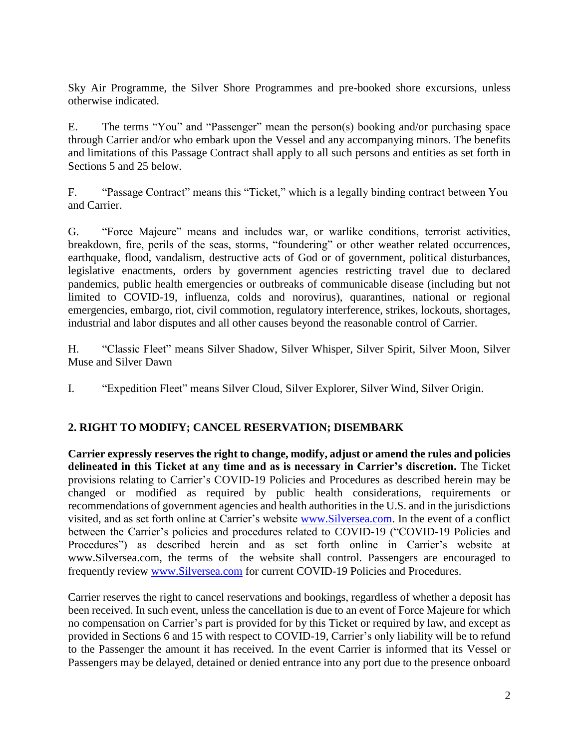Sky Air Programme, the Silver Shore Programmes and pre-booked shore excursions, unless otherwise indicated.

E. The terms "You" and "Passenger" mean the person(s) booking and/or purchasing space through Carrier and/or who embark upon the Vessel and any accompanying minors. The benefits and limitations of this Passage Contract shall apply to all such persons and entities as set forth in Sections 5 and 25 below.

F. "Passage Contract" means this "Ticket," which is a legally binding contract between You and Carrier.

G. "Force Majeure" means and includes war, or warlike conditions, terrorist activities, breakdown, fire, perils of the seas, storms, "foundering" or other weather related occurrences, earthquake, flood, vandalism, destructive acts of God or of government, political disturbances, legislative enactments, orders by government agencies restricting travel due to declared pandemics, public health emergencies or outbreaks of communicable disease (including but not limited to COVID-19, influenza, colds and norovirus), quarantines, national or regional emergencies, embargo, riot, civil commotion, regulatory interference, strikes, lockouts, shortages, industrial and labor disputes and all other causes beyond the reasonable control of Carrier.

H. "Classic Fleet" means Silver Shadow, Silver Whisper, Silver Spirit, Silver Moon, Silver Muse and Silver Dawn

I. "Expedition Fleet" means Silver Cloud, Silver Explorer, Silver Wind, Silver Origin.

## **2. RIGHT TO MODIFY; CANCEL RESERVATION; DISEMBARK**

**Carrier expressly reserves the right to change, modify, adjust or amend the rules and policies delineated in this Ticket at any time and as is necessary in Carrier's discretion.** The Ticket provisions relating to Carrier's COVID-19 Policies and Procedures as described herein may be changed or modified as required by public health considerations, requirements or recommendations of government agencies and health authorities in the U.S. and in the jurisdictions visited, and as set forth online at Carrier's website [www.Silversea.com.](http://www.silversea.com/) In the event of a conflict between the Carrier's policies and procedures related to COVID-19 ("COVID-19 Policies and Procedures") as described herein and as set forth online in Carrier's website at www.Silversea.com, the terms of the website shall control. Passengers are encouraged to frequently review [www.Silversea.com](http://www.silversea.com/) for current COVID-19 Policies and Procedures.

Carrier reserves the right to cancel reservations and bookings, regardless of whether a deposit has been received. In such event, unless the cancellation is due to an event of Force Majeure for which no compensation on Carrier's part is provided for by this Ticket or required by law, and except as provided in Sections 6 and 15 with respect to COVID-19, Carrier's only liability will be to refund to the Passenger the amount it has received. In the event Carrier is informed that its Vessel or Passengers may be delayed, detained or denied entrance into any port due to the presence onboard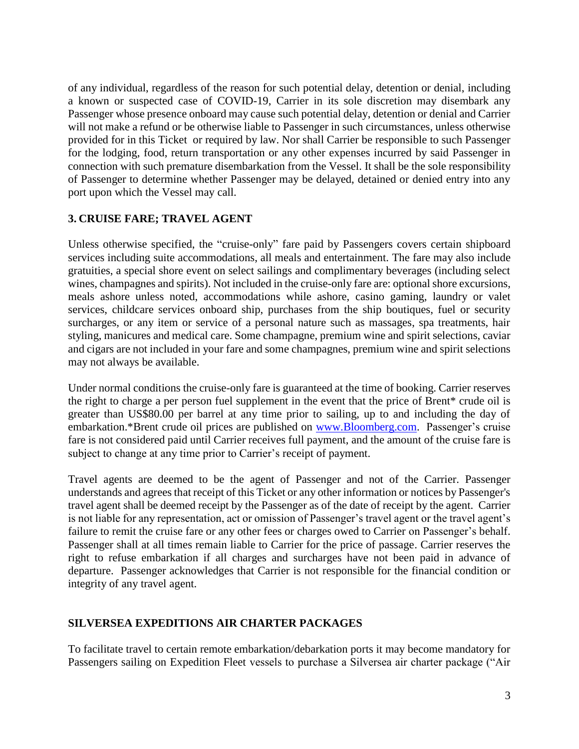of any individual, regardless of the reason for such potential delay, detention or denial, including a known or suspected case of COVID-19, Carrier in its sole discretion may disembark any Passenger whose presence onboard may cause such potential delay, detention or denial and Carrier will not make a refund or be otherwise liable to Passenger in such circumstances, unless otherwise provided for in this Ticket or required by law. Nor shall Carrier be responsible to such Passenger for the lodging, food, return transportation or any other expenses incurred by said Passenger in connection with such premature disembarkation from the Vessel. It shall be the sole responsibility of Passenger to determine whether Passenger may be delayed, detained or denied entry into any port upon which the Vessel may call.

# **3. CRUISE FARE; TRAVEL AGENT**

Unless otherwise specified, the "cruise-only" fare paid by Passengers covers certain shipboard services including suite accommodations, all meals and entertainment. The fare may also include gratuities, a special shore event on select sailings and complimentary beverages (including select wines, champagnes and spirits). Not included in the cruise-only fare are: optional shore excursions, meals ashore unless noted, accommodations while ashore, casino gaming, laundry or valet services, childcare services onboard ship, purchases from the ship boutiques, fuel or security surcharges, or any item or service of a personal nature such as massages, spa treatments, hair styling, manicures and medical care. Some champagne, premium wine and spirit selections, caviar and cigars are not included in your fare and some champagnes, premium wine and spirit selections may not always be available.

Under normal conditions the cruise-only fare is guaranteed at the time of booking. Carrier reserves the right to charge a per person fuel supplement in the event that the price of Brent\* crude oil is greater than US\$80.00 per barrel at any time prior to sailing, up to and including the day of embarkation.\*Brent crude oil prices are published on [www.Bloomberg.com.](http://www.bloomberg.com/) Passenger's cruise fare is not considered paid until Carrier receives full payment, and the amount of the cruise fare is subject to change at any time prior to Carrier's receipt of payment.

Travel agents are deemed to be the agent of Passenger and not of the Carrier. Passenger understands and agrees that receipt of this Ticket or any other information or notices by Passenger's travel agent shall be deemed receipt by the Passenger as of the date of receipt by the agent. Carrier is not liable for any representation, act or omission of Passenger's travel agent or the travel agent's failure to remit the cruise fare or any other fees or charges owed to Carrier on Passenger's behalf. Passenger shall at all times remain liable to Carrier for the price of passage. Carrier reserves the right to refuse embarkation if all charges and surcharges have not been paid in advance of departure. Passenger acknowledges that Carrier is not responsible for the financial condition or integrity of any travel agent.

## **SILVERSEA EXPEDITIONS AIR CHARTER PACKAGES**

To facilitate travel to certain remote embarkation/debarkation ports it may become mandatory for Passengers sailing on Expedition Fleet vessels to purchase a Silversea air charter package ("Air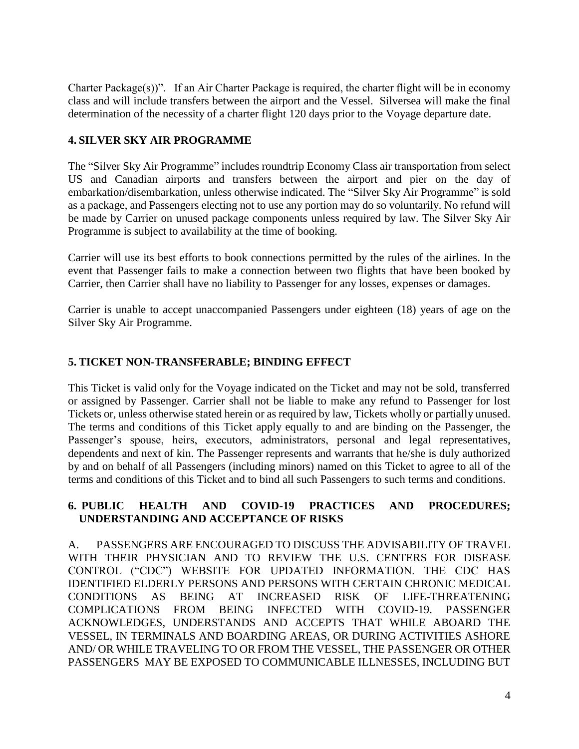Charter Package(s))". If an Air Charter Package is required, the charter flight will be in economy class and will include transfers between the airport and the Vessel. Silversea will make the final determination of the necessity of a charter flight 120 days prior to the Voyage departure date.

## **4. SILVER SKY AIR PROGRAMME**

The "Silver Sky Air Programme" includes roundtrip Economy Class air transportation from select US and Canadian airports and transfers between the airport and pier on the day of embarkation/disembarkation, unless otherwise indicated. The "Silver Sky Air Programme" is sold as a package, and Passengers electing not to use any portion may do so voluntarily. No refund will be made by Carrier on unused package components unless required by law. The Silver Sky Air Programme is subject to availability at the time of booking.

Carrier will use its best efforts to book connections permitted by the rules of the airlines. In the event that Passenger fails to make a connection between two flights that have been booked by Carrier, then Carrier shall have no liability to Passenger for any losses, expenses or damages.

Carrier is unable to accept unaccompanied Passengers under eighteen (18) years of age on the Silver Sky Air Programme.

## **5. TICKET NON-TRANSFERABLE; BINDING EFFECT**

This Ticket is valid only for the Voyage indicated on the Ticket and may not be sold, transferred or assigned by Passenger. Carrier shall not be liable to make any refund to Passenger for lost Tickets or, unless otherwise stated herein or as required by law, Tickets wholly or partially unused. The terms and conditions of this Ticket apply equally to and are binding on the Passenger, the Passenger's spouse, heirs, executors, administrators, personal and legal representatives, dependents and next of kin. The Passenger represents and warrants that he/she is duly authorized by and on behalf of all Passengers (including minors) named on this Ticket to agree to all of the terms and conditions of this Ticket and to bind all such Passengers to such terms and conditions.

## **6. PUBLIC HEALTH AND COVID-19 PRACTICES AND PROCEDURES; UNDERSTANDING AND ACCEPTANCE OF RISKS**

A. PASSENGERS ARE ENCOURAGED TO DISCUSS THE ADVISABILITY OF TRAVEL WITH THEIR PHYSICIAN AND TO REVIEW THE U.S. CENTERS FOR DISEASE CONTROL ("CDC") WEBSITE FOR UPDATED INFORMATION. THE CDC HAS IDENTIFIED ELDERLY PERSONS AND PERSONS WITH CERTAIN CHRONIC MEDICAL CONDITIONS AS BEING AT INCREASED RISK OF LIFE-THREATENING COMPLICATIONS FROM BEING INFECTED WITH COVID-19. PASSENGER ACKNOWLEDGES, UNDERSTANDS AND ACCEPTS THAT WHILE ABOARD THE VESSEL, IN TERMINALS AND BOARDING AREAS, OR DURING ACTIVITIES ASHORE AND/ OR WHILE TRAVELING TO OR FROM THE VESSEL, THE PASSENGER OR OTHER PASSENGERS MAY BE EXPOSED TO COMMUNICABLE ILLNESSES, INCLUDING BUT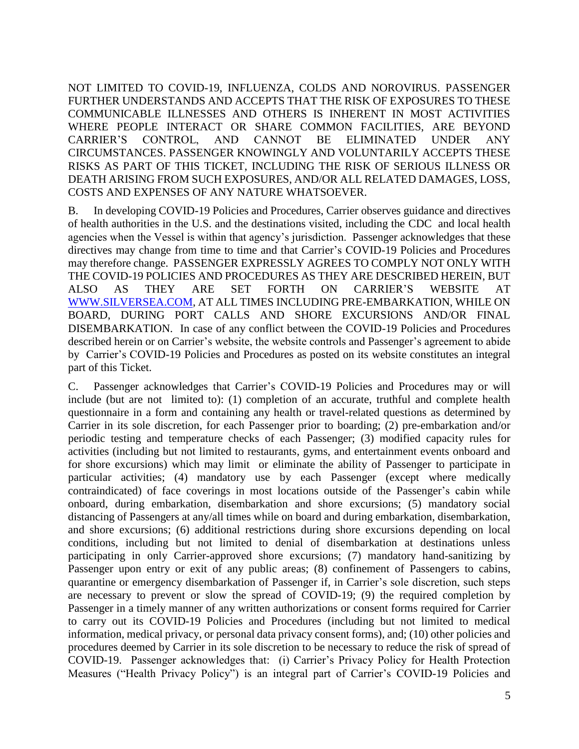NOT LIMITED TO COVID-19, INFLUENZA, COLDS AND NOROVIRUS. PASSENGER FURTHER UNDERSTANDS AND ACCEPTS THAT THE RISK OF EXPOSURES TO THESE COMMUNICABLE ILLNESSES AND OTHERS IS INHERENT IN MOST ACTIVITIES WHERE PEOPLE INTERACT OR SHARE COMMON FACILITIES, ARE BEYOND CARRIER'S CONTROL, AND CANNOT BE ELIMINATED UNDER ANY CIRCUMSTANCES. PASSENGER KNOWINGLY AND VOLUNTARILY ACCEPTS THESE RISKS AS PART OF THIS TICKET, INCLUDING THE RISK OF SERIOUS ILLNESS OR DEATH ARISING FROM SUCH EXPOSURES, AND/OR ALL RELATED DAMAGES, LOSS, COSTS AND EXPENSES OF ANY NATURE WHATSOEVER.

B. In developing COVID-19 Policies and Procedures, Carrier observes guidance and directives of health authorities in the U.S. and the destinations visited, including the CDC and local health agencies when the Vessel is within that agency's jurisdiction. Passenger acknowledges that these directives may change from time to time and that Carrier's COVID-19 Policies and Procedures may therefore change. PASSENGER EXPRESSLY AGREES TO COMPLY NOT ONLY WITH THE COVID-19 POLICIES AND PROCEDURES AS THEY ARE DESCRIBED HEREIN, BUT ALSO AS THEY ARE SET FORTH ON CARRIER'S WEBSITE AT [WWW.SILVERSEA.COM,](http://www.silversea.com/) AT ALL TIMES INCLUDING PRE-EMBARKATION, WHILE ON BOARD, DURING PORT CALLS AND SHORE EXCURSIONS AND/OR FINAL DISEMBARKATION. In case of any conflict between the COVID-19 Policies and Procedures described herein or on Carrier's website, the website controls and Passenger's agreement to abide by Carrier's COVID-19 Policies and Procedures as posted on its website constitutes an integral part of this Ticket.

C. Passenger acknowledges that Carrier's COVID-19 Policies and Procedures may or will include (but are not limited to): (1) completion of an accurate, truthful and complete health questionnaire in a form and containing any health or travel-related questions as determined by Carrier in its sole discretion, for each Passenger prior to boarding; (2) pre-embarkation and/or periodic testing and temperature checks of each Passenger; (3) modified capacity rules for activities (including but not limited to restaurants, gyms, and entertainment events onboard and for shore excursions) which may limit or eliminate the ability of Passenger to participate in particular activities; (4) mandatory use by each Passenger (except where medically contraindicated) of face coverings in most locations outside of the Passenger's cabin while onboard, during embarkation, disembarkation and shore excursions; (5) mandatory social distancing of Passengers at any/all times while on board and during embarkation, disembarkation, and shore excursions; (6) additional restrictions during shore excursions depending on local conditions, including but not limited to denial of disembarkation at destinations unless participating in only Carrier-approved shore excursions; (7) mandatory hand-sanitizing by Passenger upon entry or exit of any public areas; (8) confinement of Passengers to cabins, quarantine or emergency disembarkation of Passenger if, in Carrier's sole discretion, such steps are necessary to prevent or slow the spread of COVID-19; (9) the required completion by Passenger in a timely manner of any written authorizations or consent forms required for Carrier to carry out its COVID-19 Policies and Procedures (including but not limited to medical information, medical privacy, or personal data privacy consent forms), and; (10) other policies and procedures deemed by Carrier in its sole discretion to be necessary to reduce the risk of spread of COVID-19. Passenger acknowledges that: (i) Carrier's Privacy Policy for Health Protection Measures ("Health Privacy Policy") is an integral part of Carrier's COVID-19 Policies and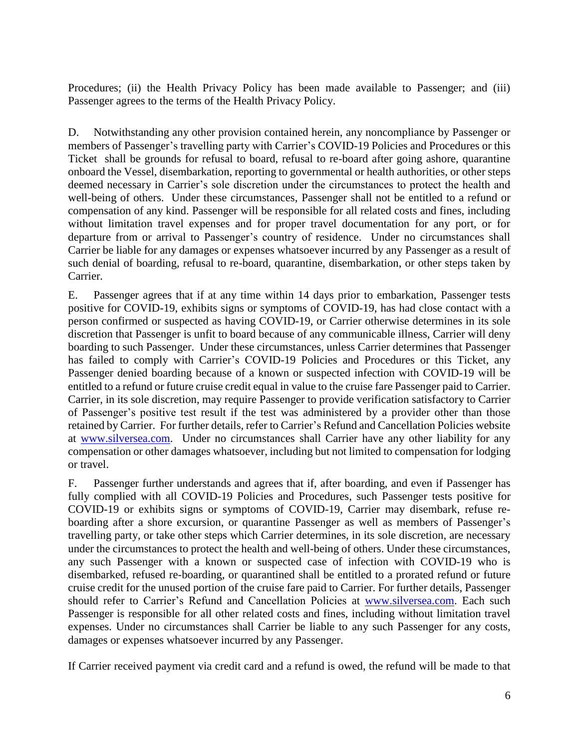Procedures; (ii) the Health Privacy Policy has been made available to Passenger; and (iii) Passenger agrees to the terms of the Health Privacy Policy.

D. Notwithstanding any other provision contained herein, any noncompliance by Passenger or members of Passenger's travelling party with Carrier's COVID-19 Policies and Procedures or this Ticket shall be grounds for refusal to board, refusal to re-board after going ashore, quarantine onboard the Vessel, disembarkation, reporting to governmental or health authorities, or other steps deemed necessary in Carrier's sole discretion under the circumstances to protect the health and well-being of others. Under these circumstances, Passenger shall not be entitled to a refund or compensation of any kind. Passenger will be responsible for all related costs and fines, including without limitation travel expenses and for proper travel documentation for any port, or for departure from or arrival to Passenger's country of residence. Under no circumstances shall Carrier be liable for any damages or expenses whatsoever incurred by any Passenger as a result of such denial of boarding, refusal to re-board, quarantine, disembarkation, or other steps taken by Carrier.

E. Passenger agrees that if at any time within 14 days prior to embarkation, Passenger tests positive for COVID-19, exhibits signs or symptoms of COVID-19, has had close contact with a person confirmed or suspected as having COVID-19, or Carrier otherwise determines in its sole discretion that Passenger is unfit to board because of any communicable illness, Carrier will deny boarding to such Passenger. Under these circumstances, unless Carrier determines that Passenger has failed to comply with Carrier's COVID-19 Policies and Procedures or this Ticket, any Passenger denied boarding because of a known or suspected infection with COVID-19 will be entitled to a refund or future cruise credit equal in value to the cruise fare Passenger paid to Carrier. Carrier, in its sole discretion, may require Passenger to provide verification satisfactory to Carrier of Passenger's positive test result if the test was administered by a provider other than those retained by Carrier. For further details, refer to Carrier's Refund and Cancellation Policies website at [www.silversea.com.](https://www.silversea.com/lp-refund-and-cancellation-policy-covid-19.html) Under no circumstances shall Carrier have any other liability for any compensation or other damages whatsoever, including but not limited to compensation for lodging or travel.

F. Passenger further understands and agrees that if, after boarding, and even if Passenger has fully complied with all COVID-19 Policies and Procedures, such Passenger tests positive for COVID-19 or exhibits signs or symptoms of COVID-19, Carrier may disembark, refuse reboarding after a shore excursion, or quarantine Passenger as well as members of Passenger's travelling party, or take other steps which Carrier determines, in its sole discretion, are necessary under the circumstances to protect the health and well-being of others. Under these circumstances, any such Passenger with a known or suspected case of infection with COVID-19 who is disembarked, refused re-boarding, or quarantined shall be entitled to a prorated refund or future cruise credit for the unused portion of the cruise fare paid to Carrier. For further details, Passenger should refer to Carrier's Refund and Cancellation Policies at [www.silversea.com.](https://www.silversea.com/lp-refund-and-cancellation-policy-covid-19.html) Each such Passenger is responsible for all other related costs and fines, including without limitation travel expenses. Under no circumstances shall Carrier be liable to any such Passenger for any costs, damages or expenses whatsoever incurred by any Passenger.

If Carrier received payment via credit card and a refund is owed, the refund will be made to that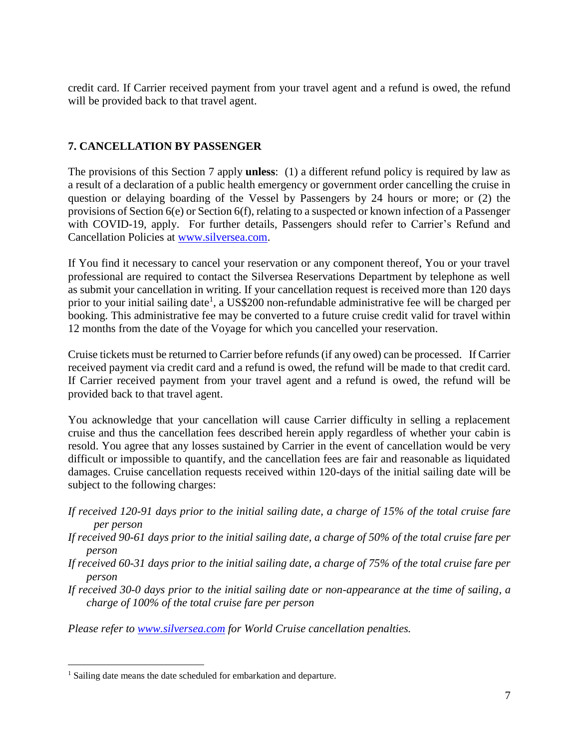credit card. If Carrier received payment from your travel agent and a refund is owed, the refund will be provided back to that travel agent.

## **7. CANCELLATION BY PASSENGER**

The provisions of this Section 7 apply **unless**: (1) a different refund policy is required by law as a result of a declaration of a public health emergency or government order cancelling the cruise in question or delaying boarding of the Vessel by Passengers by 24 hours or more; or (2) the provisions of Section 6(e) or Section 6(f), relating to a suspected or known infection of a Passenger with COVID-19, apply. For further details, Passengers should refer to Carrier's Refund and Cancellation Policies at [www.silversea.com.](https://www.silversea.com/lp-refund-and-cancellation-policy-covid-19.html)

If You find it necessary to cancel your reservation or any component thereof, You or your travel professional are required to contact the Silversea Reservations Department by telephone as well as submit your cancellation in writing. If your cancellation request is received more than 120 days prior to your initial sailing date<sup>1</sup>, a US\$200 non-refundable administrative fee will be charged per booking. This administrative fee may be converted to a future cruise credit valid for travel within 12 months from the date of the Voyage for which you cancelled your reservation.

Cruise tickets must be returned to Carrier before refunds (if any owed) can be processed. If Carrier received payment via credit card and a refund is owed, the refund will be made to that credit card. If Carrier received payment from your travel agent and a refund is owed, the refund will be provided back to that travel agent.

You acknowledge that your cancellation will cause Carrier difficulty in selling a replacement cruise and thus the cancellation fees described herein apply regardless of whether your cabin is resold. You agree that any losses sustained by Carrier in the event of cancellation would be very difficult or impossible to quantify, and the cancellation fees are fair and reasonable as liquidated damages. Cruise cancellation requests received within 120-days of the initial sailing date will be subject to the following charges:

- *If received 120-91 days prior to the initial sailing date, a charge of 15% of the total cruise fare per person*
- *If received 90-61 days prior to the initial sailing date, a charge of 50% of the total cruise fare per person*
- *If received 60-31 days prior to the initial sailing date, a charge of 75% of the total cruise fare per person*
- *If received 30-0 days prior to the initial sailing date or non-appearance at the time of sailing, a charge of 100% of the total cruise fare per person*

*Please refer to [www.silversea.com](http://www.silversea.com/) for World Cruise cancellation penalties.*

 $\overline{a}$ 

<sup>&</sup>lt;sup>1</sup> Sailing date means the date scheduled for embarkation and departure.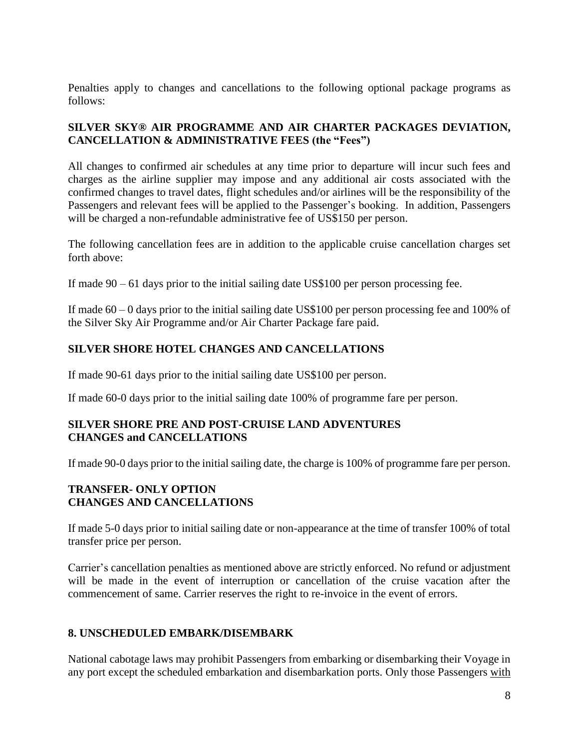Penalties apply to changes and cancellations to the following optional package programs as follows:

## **SILVER SKY® AIR PROGRAMME AND AIR CHARTER PACKAGES DEVIATION, CANCELLATION & ADMINISTRATIVE FEES (the "Fees")**

All changes to confirmed air schedules at any time prior to departure will incur such fees and charges as the airline supplier may impose and any additional air costs associated with the confirmed changes to travel dates, flight schedules and/or airlines will be the responsibility of the Passengers and relevant fees will be applied to the Passenger's booking. In addition, Passengers will be charged a non-refundable administrative fee of US\$150 per person.

The following cancellation fees are in addition to the applicable cruise cancellation charges set forth above:

If made 90 – 61 days prior to the initial sailing date US\$100 per person processing fee.

If made 60 – 0 days prior to the initial sailing date US\$100 per person processing fee and 100% of the Silver Sky Air Programme and/or Air Charter Package fare paid.

## **SILVER SHORE HOTEL CHANGES AND CANCELLATIONS**

If made 90-61 days prior to the initial sailing date US\$100 per person.

If made 60-0 days prior to the initial sailing date 100% of programme fare per person.

## **SILVER SHORE PRE AND POST-CRUISE LAND ADVENTURES CHANGES and CANCELLATIONS**

If made 90-0 days prior to the initial sailing date, the charge is 100% of programme fare per person.

## **TRANSFER- ONLY OPTION CHANGES AND CANCELLATIONS**

If made 5-0 days prior to initial sailing date or non-appearance at the time of transfer 100% of total transfer price per person.

Carrier's cancellation penalties as mentioned above are strictly enforced. No refund or adjustment will be made in the event of interruption or cancellation of the cruise vacation after the commencement of same. Carrier reserves the right to re-invoice in the event of errors.

## **8. UNSCHEDULED EMBARK/DISEMBARK**

National cabotage laws may prohibit Passengers from embarking or disembarking their Voyage in any port except the scheduled embarkation and disembarkation ports. Only those Passengers with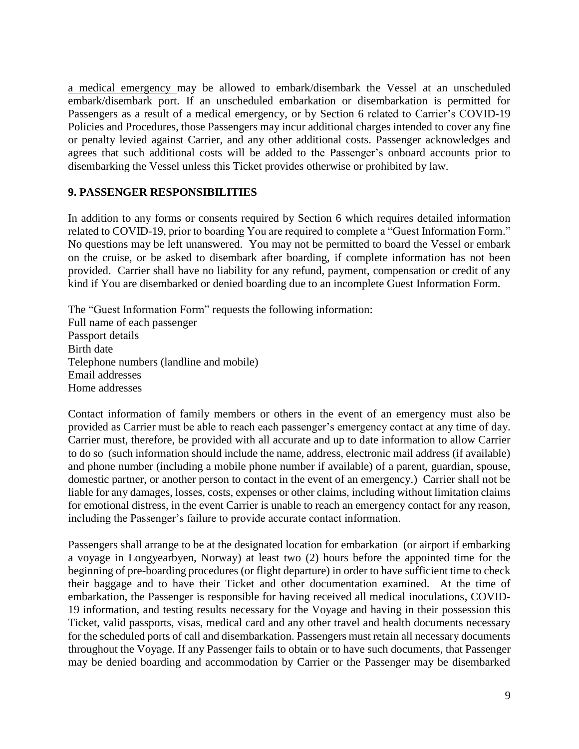a medical emergency may be allowed to embark/disembark the Vessel at an unscheduled embark/disembark port. If an unscheduled embarkation or disembarkation is permitted for Passengers as a result of a medical emergency, or by Section 6 related to Carrier's COVID-19 Policies and Procedures, those Passengers may incur additional charges intended to cover any fine or penalty levied against Carrier, and any other additional costs. Passenger acknowledges and agrees that such additional costs will be added to the Passenger's onboard accounts prior to disembarking the Vessel unless this Ticket provides otherwise or prohibited by law.

#### **9. PASSENGER RESPONSIBILITIES**

In addition to any forms or consents required by Section 6 which requires detailed information related to COVID-19, prior to boarding You are required to complete a "Guest Information Form." No questions may be left unanswered. You may not be permitted to board the Vessel or embark on the cruise, or be asked to disembark after boarding, if complete information has not been provided. Carrier shall have no liability for any refund, payment, compensation or credit of any kind if You are disembarked or denied boarding due to an incomplete Guest Information Form.

The "Guest Information Form" requests the following information: Full name of each passenger Passport details Birth date Telephone numbers (landline and mobile) Email addresses Home addresses

Contact information of family members or others in the event of an emergency must also be provided as Carrier must be able to reach each passenger's emergency contact at any time of day. Carrier must, therefore, be provided with all accurate and up to date information to allow Carrier to do so (such information should include the name, address, electronic mail address (if available) and phone number (including a mobile phone number if available) of a parent, guardian, spouse, domestic partner, or another person to contact in the event of an emergency.) Carrier shall not be liable for any damages, losses, costs, expenses or other claims, including without limitation claims for emotional distress, in the event Carrier is unable to reach an emergency contact for any reason, including the Passenger's failure to provide accurate contact information.

Passengers shall arrange to be at the designated location for embarkation (or airport if embarking a voyage in Longyearbyen, Norway) at least two (2) hours before the appointed time for the beginning of pre-boarding procedures (or flight departure) in order to have sufficient time to check their baggage and to have their Ticket and other documentation examined. At the time of embarkation, the Passenger is responsible for having received all medical inoculations, COVID-19 information, and testing results necessary for the Voyage and having in their possession this Ticket, valid passports, visas, medical card and any other travel and health documents necessary for the scheduled ports of call and disembarkation. Passengers must retain all necessary documents throughout the Voyage. If any Passenger fails to obtain or to have such documents, that Passenger may be denied boarding and accommodation by Carrier or the Passenger may be disembarked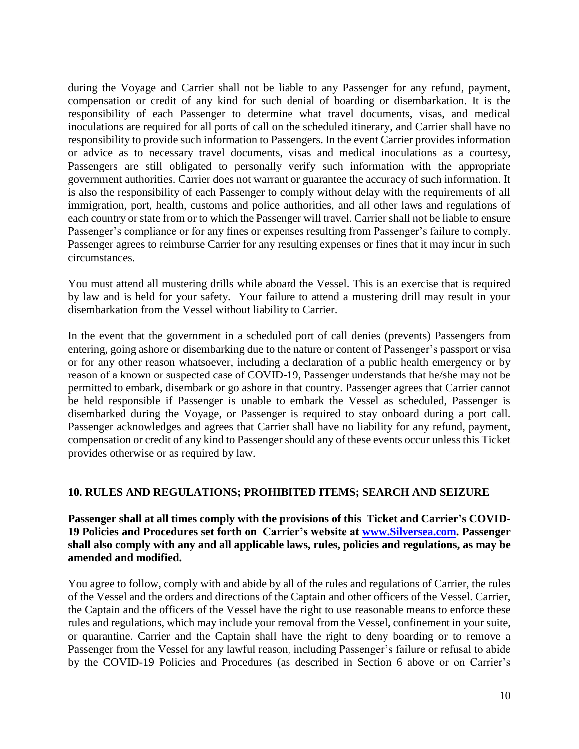during the Voyage and Carrier shall not be liable to any Passenger for any refund, payment, compensation or credit of any kind for such denial of boarding or disembarkation. It is the responsibility of each Passenger to determine what travel documents, visas, and medical inoculations are required for all ports of call on the scheduled itinerary, and Carrier shall have no responsibility to provide such information to Passengers. In the event Carrier provides information or advice as to necessary travel documents, visas and medical inoculations as a courtesy, Passengers are still obligated to personally verify such information with the appropriate government authorities. Carrier does not warrant or guarantee the accuracy of such information. It is also the responsibility of each Passenger to comply without delay with the requirements of all immigration, port, health, customs and police authorities, and all other laws and regulations of each country or state from or to which the Passenger will travel. Carrier shall not be liable to ensure Passenger's compliance or for any fines or expenses resulting from Passenger's failure to comply. Passenger agrees to reimburse Carrier for any resulting expenses or fines that it may incur in such circumstances.

You must attend all mustering drills while aboard the Vessel. This is an exercise that is required by law and is held for your safety. Your failure to attend a mustering drill may result in your disembarkation from the Vessel without liability to Carrier.

In the event that the government in a scheduled port of call denies (prevents) Passengers from entering, going ashore or disembarking due to the nature or content of Passenger's passport or visa or for any other reason whatsoever, including a declaration of a public health emergency or by reason of a known or suspected case of COVID-19, Passenger understands that he/she may not be permitted to embark, disembark or go ashore in that country. Passenger agrees that Carrier cannot be held responsible if Passenger is unable to embark the Vessel as scheduled, Passenger is disembarked during the Voyage, or Passenger is required to stay onboard during a port call. Passenger acknowledges and agrees that Carrier shall have no liability for any refund, payment, compensation or credit of any kind to Passenger should any of these events occur unless this Ticket provides otherwise or as required by law.

#### **10. RULES AND REGULATIONS; PROHIBITED ITEMS; SEARCH AND SEIZURE**

**Passenger shall at all times comply with the provisions of this Ticket and Carrier's COVID-19 Policies and Procedures set forth on Carrier's website at [www.Silversea.com.](http://www.silversea.com/) Passenger shall also comply with any and all applicable laws, rules, policies and regulations, as may be amended and modified.**

You agree to follow, comply with and abide by all of the rules and regulations of Carrier, the rules of the Vessel and the orders and directions of the Captain and other officers of the Vessel. Carrier, the Captain and the officers of the Vessel have the right to use reasonable means to enforce these rules and regulations, which may include your removal from the Vessel, confinement in your suite, or quarantine. Carrier and the Captain shall have the right to deny boarding or to remove a Passenger from the Vessel for any lawful reason, including Passenger's failure or refusal to abide by the COVID-19 Policies and Procedures (as described in Section 6 above or on Carrier's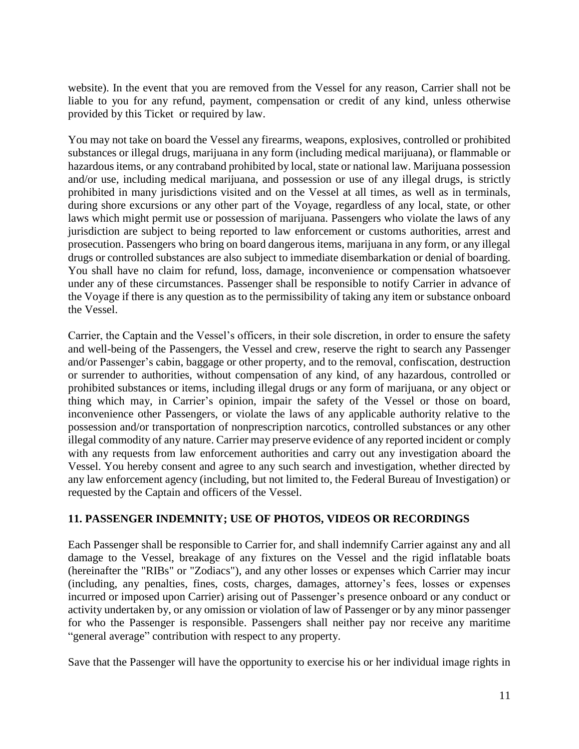website). In the event that you are removed from the Vessel for any reason, Carrier shall not be liable to you for any refund, payment, compensation or credit of any kind, unless otherwise provided by this Ticket or required by law.

You may not take on board the Vessel any firearms, weapons, explosives, controlled or prohibited substances or illegal drugs, marijuana in any form (including medical marijuana), or flammable or hazardous items, or any contraband prohibited by local, state or national law. Marijuana possession and/or use, including medical marijuana, and possession or use of any illegal drugs, is strictly prohibited in many jurisdictions visited and on the Vessel at all times, as well as in terminals, during shore excursions or any other part of the Voyage, regardless of any local, state, or other laws which might permit use or possession of marijuana. Passengers who violate the laws of any jurisdiction are subject to being reported to law enforcement or customs authorities, arrest and prosecution. Passengers who bring on board dangerous items, marijuana in any form, or any illegal drugs or controlled substances are also subject to immediate disembarkation or denial of boarding. You shall have no claim for refund, loss, damage, inconvenience or compensation whatsoever under any of these circumstances. Passenger shall be responsible to notify Carrier in advance of the Voyage if there is any question as to the permissibility of taking any item or substance onboard the Vessel.

Carrier, the Captain and the Vessel's officers, in their sole discretion, in order to ensure the safety and well-being of the Passengers, the Vessel and crew, reserve the right to search any Passenger and/or Passenger's cabin, baggage or other property, and to the removal, confiscation, destruction or surrender to authorities, without compensation of any kind, of any hazardous, controlled or prohibited substances or items, including illegal drugs or any form of marijuana, or any object or thing which may, in Carrier's opinion, impair the safety of the Vessel or those on board, inconvenience other Passengers, or violate the laws of any applicable authority relative to the possession and/or transportation of nonprescription narcotics, controlled substances or any other illegal commodity of any nature. Carrier may preserve evidence of any reported incident or comply with any requests from law enforcement authorities and carry out any investigation aboard the Vessel. You hereby consent and agree to any such search and investigation, whether directed by any law enforcement agency (including, but not limited to, the Federal Bureau of Investigation) or requested by the Captain and officers of the Vessel.

## **11. PASSENGER INDEMNITY; USE OF PHOTOS, VIDEOS OR RECORDINGS**

Each Passenger shall be responsible to Carrier for, and shall indemnify Carrier against any and all damage to the Vessel, breakage of any fixtures on the Vessel and the rigid inflatable boats (hereinafter the "RIBs" or "Zodiacs"), and any other losses or expenses which Carrier may incur (including, any penalties, fines, costs, charges, damages, attorney's fees, losses or expenses incurred or imposed upon Carrier) arising out of Passenger's presence onboard or any conduct or activity undertaken by, or any omission or violation of law of Passenger or by any minor passenger for who the Passenger is responsible. Passengers shall neither pay nor receive any maritime "general average" contribution with respect to any property.

Save that the Passenger will have the opportunity to exercise his or her individual image rights in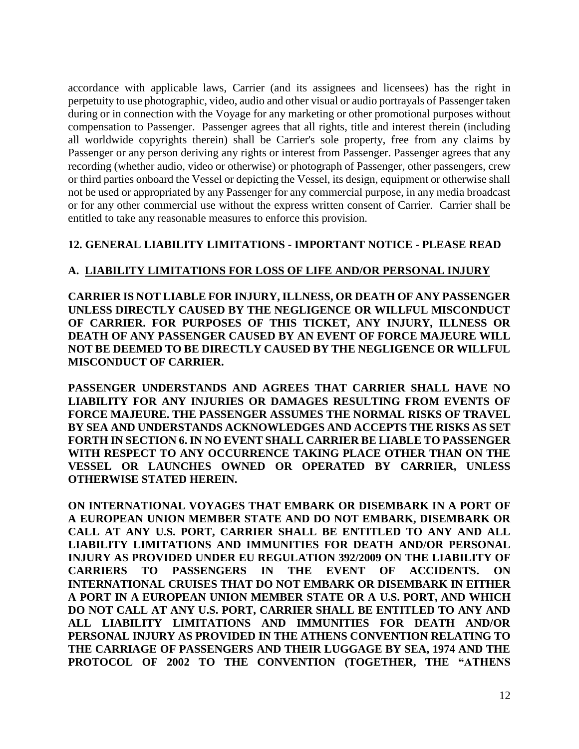accordance with applicable laws, Carrier (and its assignees and licensees) has the right in perpetuity to use photographic, video, audio and other visual or audio portrayals of Passenger taken during or in connection with the Voyage for any marketing or other promotional purposes without compensation to Passenger. Passenger agrees that all rights, title and interest therein (including all worldwide copyrights therein) shall be Carrier's sole property, free from any claims by Passenger or any person deriving any rights or interest from Passenger. Passenger agrees that any recording (whether audio, video or otherwise) or photograph of Passenger, other passengers, crew or third parties onboard the Vessel or depicting the Vessel, its design, equipment or otherwise shall not be used or appropriated by any Passenger for any commercial purpose, in any media broadcast or for any other commercial use without the express written consent of Carrier. Carrier shall be entitled to take any reasonable measures to enforce this provision.

## **12. GENERAL LIABILITY LIMITATIONS - IMPORTANT NOTICE - PLEASE READ**

## **A. LIABILITY LIMITATIONS FOR LOSS OF LIFE AND/OR PERSONAL INJURY**

**CARRIER IS NOT LIABLE FOR INJURY, ILLNESS, OR DEATH OF ANY PASSENGER UNLESS DIRECTLY CAUSED BY THE NEGLIGENCE OR WILLFUL MISCONDUCT OF CARRIER. FOR PURPOSES OF THIS TICKET, ANY INJURY, ILLNESS OR DEATH OF ANY PASSENGER CAUSED BY AN EVENT OF FORCE MAJEURE WILL NOT BE DEEMED TO BE DIRECTLY CAUSED BY THE NEGLIGENCE OR WILLFUL MISCONDUCT OF CARRIER.**

**PASSENGER UNDERSTANDS AND AGREES THAT CARRIER SHALL HAVE NO LIABILITY FOR ANY INJURIES OR DAMAGES RESULTING FROM EVENTS OF FORCE MAJEURE. THE PASSENGER ASSUMES THE NORMAL RISKS OF TRAVEL BY SEA AND UNDERSTANDS ACKNOWLEDGES AND ACCEPTS THE RISKS AS SET FORTH IN SECTION 6. IN NO EVENT SHALL CARRIER BE LIABLE TO PASSENGER WITH RESPECT TO ANY OCCURRENCE TAKING PLACE OTHER THAN ON THE VESSEL OR LAUNCHES OWNED OR OPERATED BY CARRIER, UNLESS OTHERWISE STATED HEREIN.** 

**ON INTERNATIONAL VOYAGES THAT EMBARK OR DISEMBARK IN A PORT OF A EUROPEAN UNION MEMBER STATE AND DO NOT EMBARK, DISEMBARK OR CALL AT ANY U.S. PORT, CARRIER SHALL BE ENTITLED TO ANY AND ALL LIABILITY LIMITATIONS AND IMMUNITIES FOR DEATH AND/OR PERSONAL INJURY AS PROVIDED UNDER EU REGULATION 392/2009 ON THE LIABILITY OF CARRIERS TO PASSENGERS IN THE EVENT OF ACCIDENTS. ON INTERNATIONAL CRUISES THAT DO NOT EMBARK OR DISEMBARK IN EITHER A PORT IN A EUROPEAN UNION MEMBER STATE OR A U.S. PORT, AND WHICH DO NOT CALL AT ANY U.S. PORT, CARRIER SHALL BE ENTITLED TO ANY AND ALL LIABILITY LIMITATIONS AND IMMUNITIES FOR DEATH AND/OR PERSONAL INJURY AS PROVIDED IN THE ATHENS CONVENTION RELATING TO THE CARRIAGE OF PASSENGERS AND THEIR LUGGAGE BY SEA, 1974 AND THE PROTOCOL OF 2002 TO THE CONVENTION (TOGETHER, THE "ATHENS**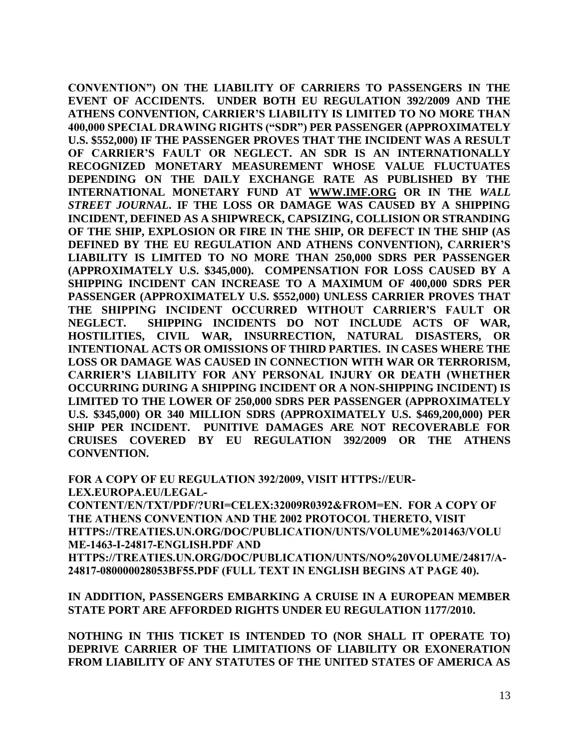**CONVENTION") ON THE LIABILITY OF CARRIERS TO PASSENGERS IN THE EVENT OF ACCIDENTS. UNDER BOTH EU REGULATION 392/2009 AND THE ATHENS CONVENTION, CARRIER'S LIABILITY IS LIMITED TO NO MORE THAN 400,000 SPECIAL DRAWING RIGHTS ("SDR") PER PASSENGER (APPROXIMATELY U.S. \$552,000) IF THE PASSENGER PROVES THAT THE INCIDENT WAS A RESULT OF CARRIER'S FAULT OR NEGLECT. AN SDR IS AN INTERNATIONALLY RECOGNIZED MONETARY MEASUREMENT WHOSE VALUE FLUCTUATES DEPENDING ON THE DAILY EXCHANGE RATE AS PUBLISHED BY THE INTERNATIONAL MONETARY FUND AT [WWW.IMF.ORG](http://www.imf.org/) OR IN THE** *WALL STREET JOURNAL***. IF THE LOSS OR DAMAGE WAS CAUSED BY A SHIPPING INCIDENT, DEFINED AS A SHIPWRECK, CAPSIZING, COLLISION OR STRANDING OF THE SHIP, EXPLOSION OR FIRE IN THE SHIP, OR DEFECT IN THE SHIP (AS DEFINED BY THE EU REGULATION AND ATHENS CONVENTION), CARRIER'S LIABILITY IS LIMITED TO NO MORE THAN 250,000 SDRS PER PASSENGER (APPROXIMATELY U.S. \$345,000). COMPENSATION FOR LOSS CAUSED BY A SHIPPING INCIDENT CAN INCREASE TO A MAXIMUM OF 400,000 SDRS PER PASSENGER (APPROXIMATELY U.S. \$552,000) UNLESS CARRIER PROVES THAT THE SHIPPING INCIDENT OCCURRED WITHOUT CARRIER'S FAULT OR NEGLECT. SHIPPING INCIDENTS DO NOT INCLUDE ACTS OF WAR, HOSTILITIES, CIVIL WAR, INSURRECTION, NATURAL DISASTERS, OR INTENTIONAL ACTS OR OMISSIONS OF THIRD PARTIES. IN CASES WHERE THE LOSS OR DAMAGE WAS CAUSED IN CONNECTION WITH WAR OR TERRORISM, CARRIER'S LIABILITY FOR ANY PERSONAL INJURY OR DEATH (WHETHER OCCURRING DURING A SHIPPING INCIDENT OR A NON-SHIPPING INCIDENT) IS LIMITED TO THE LOWER OF 250,000 SDRS PER PASSENGER (APPROXIMATELY U.S. \$345,000) OR 340 MILLION SDRS (APPROXIMATELY U.S. \$469,200,000) PER SHIP PER INCIDENT. PUNITIVE DAMAGES ARE NOT RECOVERABLE FOR CRUISES COVERED BY EU REGULATION 392/2009 OR THE ATHENS CONVENTION.** 

**FOR A COPY OF EU REGULATION 392/2009, VISIT [HTTPS://EUR-](https://eur-lex.europa.eu/legal-content/EN/TXT/PDF/?uri=CELEX:32009R0392&from=EN)[LEX.EUROPA.EU/LEGAL-](https://eur-lex.europa.eu/legal-content/EN/TXT/PDF/?uri=CELEX:32009R0392&from=EN)**

**[CONTENT/EN/TXT/PDF/?URI=CELEX:32009R0392&FROM=EN.](https://eur-lex.europa.eu/legal-content/EN/TXT/PDF/?uri=CELEX:32009R0392&from=EN) FOR A COPY OF THE ATHENS CONVENTION AND THE 2002 PROTOCOL THERETO, VISIT [HTTPS://TREATIES.UN.ORG/DOC/PUBLICATION/UNTS/VOLUME%201463/VOLU](https://treaties.un.org/doc/Publication/UNTS/Volume%201463/volume-1463-I-24817-English.pdf) [ME-1463-I-24817-ENGLISH.PDF](https://treaties.un.org/doc/Publication/UNTS/Volume%201463/volume-1463-I-24817-English.pdf) AND** 

**[HTTPS://TREATIES.UN.ORG/DOC/PUBLICATION/UNTS/NO%20VOLUME/24817/A-](https://treaties.un.org/doc/Publication/UNTS/No%20Volume/24817/A-24817-080000028053bf55.pdf)[24817-080000028053BF55.PDF](https://treaties.un.org/doc/Publication/UNTS/No%20Volume/24817/A-24817-080000028053bf55.pdf) (FULL TEXT IN ENGLISH BEGINS AT PAGE 40).**

**IN ADDITION, PASSENGERS EMBARKING A CRUISE IN A EUROPEAN MEMBER STATE PORT ARE AFFORDED RIGHTS UNDER EU REGULATION 1177/2010.** 

**NOTHING IN THIS TICKET IS INTENDED TO (NOR SHALL IT OPERATE TO) DEPRIVE CARRIER OF THE LIMITATIONS OF LIABILITY OR EXONERATION FROM LIABILITY OF ANY STATUTES OF THE UNITED STATES OF AMERICA AS**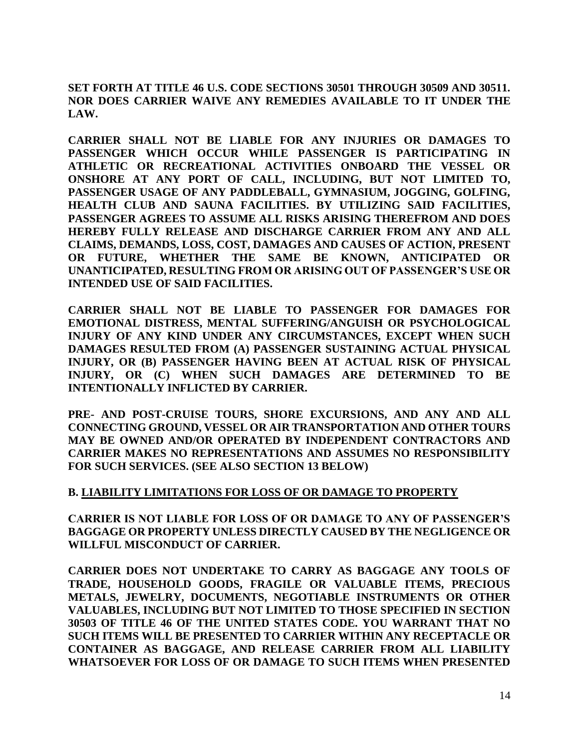**SET FORTH AT TITLE 46 U.S. CODE SECTIONS 30501 THROUGH 30509 AND 30511. NOR DOES CARRIER WAIVE ANY REMEDIES AVAILABLE TO IT UNDER THE LAW.** 

**CARRIER SHALL NOT BE LIABLE FOR ANY INJURIES OR DAMAGES TO PASSENGER WHICH OCCUR WHILE PASSENGER IS PARTICIPATING IN ATHLETIC OR RECREATIONAL ACTIVITIES ONBOARD THE VESSEL OR ONSHORE AT ANY PORT OF CALL, INCLUDING, BUT NOT LIMITED TO, PASSENGER USAGE OF ANY PADDLEBALL, GYMNASIUM, JOGGING, GOLFING, HEALTH CLUB AND SAUNA FACILITIES. BY UTILIZING SAID FACILITIES, PASSENGER AGREES TO ASSUME ALL RISKS ARISING THEREFROM AND DOES HEREBY FULLY RELEASE AND DISCHARGE CARRIER FROM ANY AND ALL CLAIMS, DEMANDS, LOSS, COST, DAMAGES AND CAUSES OF ACTION, PRESENT OR FUTURE, WHETHER THE SAME BE KNOWN, ANTICIPATED OR UNANTICIPATED, RESULTING FROM OR ARISING OUT OF PASSENGER'S USE OR INTENDED USE OF SAID FACILITIES.**

**CARRIER SHALL NOT BE LIABLE TO PASSENGER FOR DAMAGES FOR EMOTIONAL DISTRESS, MENTAL SUFFERING/ANGUISH OR PSYCHOLOGICAL INJURY OF ANY KIND UNDER ANY CIRCUMSTANCES, EXCEPT WHEN SUCH DAMAGES RESULTED FROM (A) PASSENGER SUSTAINING ACTUAL PHYSICAL INJURY, OR (B) PASSENGER HAVING BEEN AT ACTUAL RISK OF PHYSICAL INJURY, OR (C) WHEN SUCH DAMAGES ARE DETERMINED TO BE INTENTIONALLY INFLICTED BY CARRIER.**

**PRE- AND POST-CRUISE TOURS, SHORE EXCURSIONS, AND ANY AND ALL CONNECTING GROUND, VESSEL OR AIR TRANSPORTATION AND OTHER TOURS MAY BE OWNED AND/OR OPERATED BY INDEPENDENT CONTRACTORS AND CARRIER MAKES NO REPRESENTATIONS AND ASSUMES NO RESPONSIBILITY FOR SUCH SERVICES. (SEE ALSO SECTION 13 BELOW)** 

#### **B. LIABILITY LIMITATIONS FOR LOSS OF OR DAMAGE TO PROPERTY**

**CARRIER IS NOT LIABLE FOR LOSS OF OR DAMAGE TO ANY OF PASSENGER'S BAGGAGE OR PROPERTY UNLESS DIRECTLY CAUSED BY THE NEGLIGENCE OR WILLFUL MISCONDUCT OF CARRIER.** 

**CARRIER DOES NOT UNDERTAKE TO CARRY AS BAGGAGE ANY TOOLS OF TRADE, HOUSEHOLD GOODS, FRAGILE OR VALUABLE ITEMS, PRECIOUS METALS, JEWELRY, DOCUMENTS, NEGOTIABLE INSTRUMENTS OR OTHER VALUABLES, INCLUDING BUT NOT LIMITED TO THOSE SPECIFIED IN SECTION 30503 OF TITLE 46 OF THE UNITED STATES CODE. YOU WARRANT THAT NO SUCH ITEMS WILL BE PRESENTED TO CARRIER WITHIN ANY RECEPTACLE OR CONTAINER AS BAGGAGE, AND RELEASE CARRIER FROM ALL LIABILITY WHATSOEVER FOR LOSS OF OR DAMAGE TO SUCH ITEMS WHEN PRESENTED**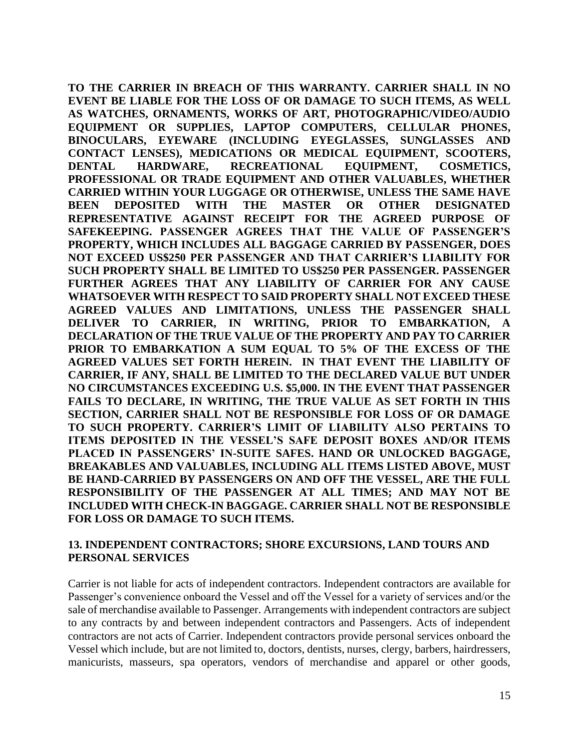**TO THE CARRIER IN BREACH OF THIS WARRANTY. CARRIER SHALL IN NO EVENT BE LIABLE FOR THE LOSS OF OR DAMAGE TO SUCH ITEMS, AS WELL AS WATCHES, ORNAMENTS, WORKS OF ART, PHOTOGRAPHIC/VIDEO/AUDIO EQUIPMENT OR SUPPLIES, LAPTOP COMPUTERS, CELLULAR PHONES, BINOCULARS, EYEWARE (INCLUDING EYEGLASSES, SUNGLASSES AND CONTACT LENSES), MEDICATIONS OR MEDICAL EQUIPMENT, SCOOTERS, DENTAL HARDWARE, RECREATIONAL EQUIPMENT, COSMETICS, PROFESSIONAL OR TRADE EQUIPMENT AND OTHER VALUABLES, WHETHER CARRIED WITHIN YOUR LUGGAGE OR OTHERWISE, UNLESS THE SAME HAVE BEEN DEPOSITED WITH THE MASTER OR OTHER DESIGNATED REPRESENTATIVE AGAINST RECEIPT FOR THE AGREED PURPOSE OF SAFEKEEPING. PASSENGER AGREES THAT THE VALUE OF PASSENGER'S PROPERTY, WHICH INCLUDES ALL BAGGAGE CARRIED BY PASSENGER, DOES NOT EXCEED US\$250 PER PASSENGER AND THAT CARRIER'S LIABILITY FOR SUCH PROPERTY SHALL BE LIMITED TO US\$250 PER PASSENGER. PASSENGER FURTHER AGREES THAT ANY LIABILITY OF CARRIER FOR ANY CAUSE WHATSOEVER WITH RESPECT TO SAID PROPERTY SHALL NOT EXCEED THESE AGREED VALUES AND LIMITATIONS, UNLESS THE PASSENGER SHALL DELIVER TO CARRIER, IN WRITING, PRIOR TO EMBARKATION, A DECLARATION OF THE TRUE VALUE OF THE PROPERTY AND PAY TO CARRIER PRIOR TO EMBARKATION A SUM EQUAL TO 5% OF THE EXCESS OF THE AGREED VALUES SET FORTH HEREIN. IN THAT EVENT THE LIABILITY OF CARRIER, IF ANY, SHALL BE LIMITED TO THE DECLARED VALUE BUT UNDER NO CIRCUMSTANCES EXCEEDING U.S. \$5,000. IN THE EVENT THAT PASSENGER FAILS TO DECLARE, IN WRITING, THE TRUE VALUE AS SET FORTH IN THIS SECTION, CARRIER SHALL NOT BE RESPONSIBLE FOR LOSS OF OR DAMAGE TO SUCH PROPERTY. CARRIER'S LIMIT OF LIABILITY ALSO PERTAINS TO ITEMS DEPOSITED IN THE VESSEL'S SAFE DEPOSIT BOXES AND/OR ITEMS PLACED IN PASSENGERS' IN-SUITE SAFES. HAND OR UNLOCKED BAGGAGE, BREAKABLES AND VALUABLES, INCLUDING ALL ITEMS LISTED ABOVE, MUST BE HAND-CARRIED BY PASSENGERS ON AND OFF THE VESSEL, ARE THE FULL RESPONSIBILITY OF THE PASSENGER AT ALL TIMES; AND MAY NOT BE INCLUDED WITH CHECK-IN BAGGAGE. CARRIER SHALL NOT BE RESPONSIBLE FOR LOSS OR DAMAGE TO SUCH ITEMS.** 

#### **13. INDEPENDENT CONTRACTORS; SHORE EXCURSIONS, LAND TOURS AND PERSONAL SERVICES**

Carrier is not liable for acts of independent contractors. Independent contractors are available for Passenger's convenience onboard the Vessel and off the Vessel for a variety of services and/or the sale of merchandise available to Passenger. Arrangements with independent contractors are subject to any contracts by and between independent contractors and Passengers. Acts of independent contractors are not acts of Carrier. Independent contractors provide personal services onboard the Vessel which include, but are not limited to, doctors, dentists, nurses, clergy, barbers, hairdressers, manicurists, masseurs, spa operators, vendors of merchandise and apparel or other goods,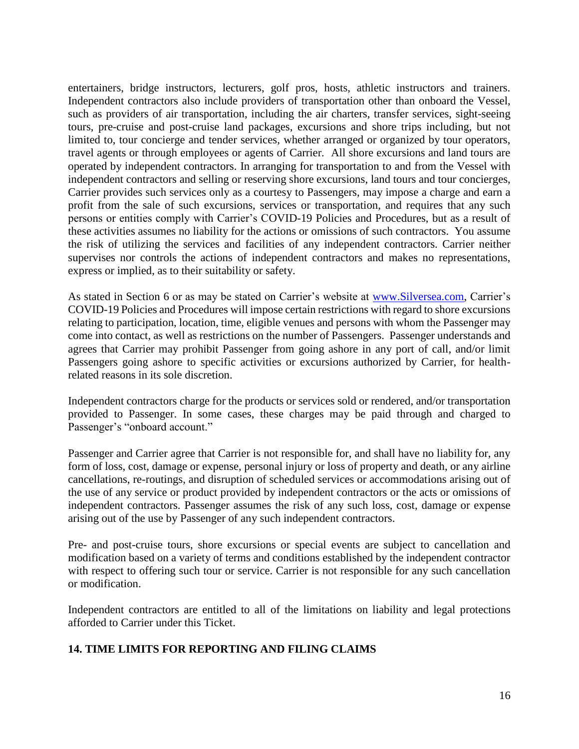entertainers, bridge instructors, lecturers, golf pros, hosts, athletic instructors and trainers. Independent contractors also include providers of transportation other than onboard the Vessel, such as providers of air transportation, including the air charters, transfer services, sight-seeing tours, pre-cruise and post-cruise land packages, excursions and shore trips including, but not limited to, tour concierge and tender services, whether arranged or organized by tour operators, travel agents or through employees or agents of Carrier. All shore excursions and land tours are operated by independent contractors. In arranging for transportation to and from the Vessel with independent contractors and selling or reserving shore excursions, land tours and tour concierges, Carrier provides such services only as a courtesy to Passengers, may impose a charge and earn a profit from the sale of such excursions, services or transportation, and requires that any such persons or entities comply with Carrier's COVID-19 Policies and Procedures, but as a result of these activities assumes no liability for the actions or omissions of such contractors. You assume the risk of utilizing the services and facilities of any independent contractors. Carrier neither supervises nor controls the actions of independent contractors and makes no representations, express or implied, as to their suitability or safety.

As stated in Section 6 or as may be stated on Carrier's website at [www.Silversea.com,](http://www.silversea.com/) Carrier's COVID-19 Policies and Procedures will impose certain restrictions with regard to shore excursions relating to participation, location, time, eligible venues and persons with whom the Passenger may come into contact, as well as restrictions on the number of Passengers. Passenger understands and agrees that Carrier may prohibit Passenger from going ashore in any port of call, and/or limit Passengers going ashore to specific activities or excursions authorized by Carrier, for healthrelated reasons in its sole discretion.

Independent contractors charge for the products or services sold or rendered, and/or transportation provided to Passenger. In some cases, these charges may be paid through and charged to Passenger's "onboard account."

Passenger and Carrier agree that Carrier is not responsible for, and shall have no liability for, any form of loss, cost, damage or expense, personal injury or loss of property and death, or any airline cancellations, re-routings, and disruption of scheduled services or accommodations arising out of the use of any service or product provided by independent contractors or the acts or omissions of independent contractors. Passenger assumes the risk of any such loss, cost, damage or expense arising out of the use by Passenger of any such independent contractors.

Pre- and post-cruise tours, shore excursions or special events are subject to cancellation and modification based on a variety of terms and conditions established by the independent contractor with respect to offering such tour or service. Carrier is not responsible for any such cancellation or modification.

Independent contractors are entitled to all of the limitations on liability and legal protections afforded to Carrier under this Ticket.

## **14. TIME LIMITS FOR REPORTING AND FILING CLAIMS**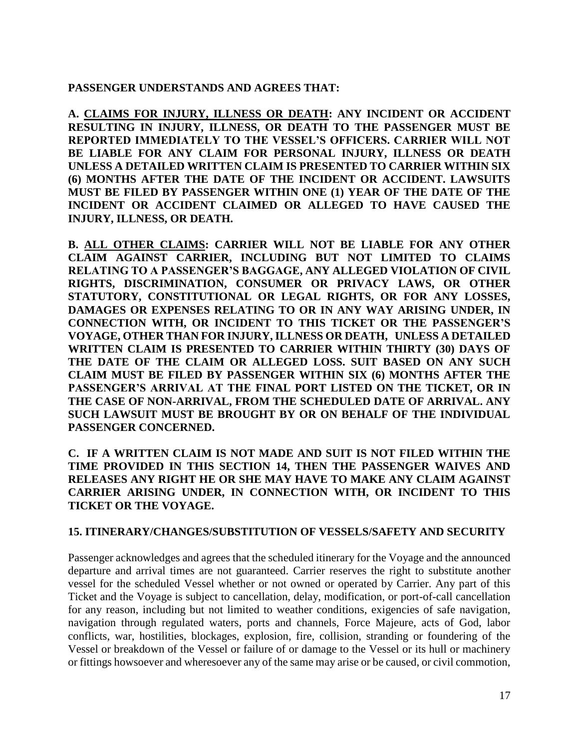#### **PASSENGER UNDERSTANDS AND AGREES THAT:**

**A. CLAIMS FOR INJURY, ILLNESS OR DEATH: ANY INCIDENT OR ACCIDENT RESULTING IN INJURY, ILLNESS, OR DEATH TO THE PASSENGER MUST BE REPORTED IMMEDIATELY TO THE VESSEL'S OFFICERS. CARRIER WILL NOT BE LIABLE FOR ANY CLAIM FOR PERSONAL INJURY, ILLNESS OR DEATH UNLESS A DETAILED WRITTEN CLAIM IS PRESENTED TO CARRIER WITHIN SIX (6) MONTHS AFTER THE DATE OF THE INCIDENT OR ACCIDENT. LAWSUITS MUST BE FILED BY PASSENGER WITHIN ONE (1) YEAR OF THE DATE OF THE INCIDENT OR ACCIDENT CLAIMED OR ALLEGED TO HAVE CAUSED THE INJURY, ILLNESS, OR DEATH.**

**B. ALL OTHER CLAIMS: CARRIER WILL NOT BE LIABLE FOR ANY OTHER CLAIM AGAINST CARRIER, INCLUDING BUT NOT LIMITED TO CLAIMS RELATING TO A PASSENGER'S BAGGAGE, ANY ALLEGED VIOLATION OF CIVIL RIGHTS, DISCRIMINATION, CONSUMER OR PRIVACY LAWS, OR OTHER STATUTORY, CONSTITUTIONAL OR LEGAL RIGHTS, OR FOR ANY LOSSES, DAMAGES OR EXPENSES RELATING TO OR IN ANY WAY ARISING UNDER, IN CONNECTION WITH, OR INCIDENT TO THIS TICKET OR THE PASSENGER'S VOYAGE, OTHER THAN FOR INJURY, ILLNESS OR DEATH, UNLESS A DETAILED WRITTEN CLAIM IS PRESENTED TO CARRIER WITHIN THIRTY (30) DAYS OF THE DATE OF THE CLAIM OR ALLEGED LOSS. SUIT BASED ON ANY SUCH CLAIM MUST BE FILED BY PASSENGER WITHIN SIX (6) MONTHS AFTER THE PASSENGER'S ARRIVAL AT THE FINAL PORT LISTED ON THE TICKET, OR IN THE CASE OF NON-ARRIVAL, FROM THE SCHEDULED DATE OF ARRIVAL. ANY SUCH LAWSUIT MUST BE BROUGHT BY OR ON BEHALF OF THE INDIVIDUAL PASSENGER CONCERNED.**

**C. IF A WRITTEN CLAIM IS NOT MADE AND SUIT IS NOT FILED WITHIN THE TIME PROVIDED IN THIS SECTION 14, THEN THE PASSENGER WAIVES AND RELEASES ANY RIGHT HE OR SHE MAY HAVE TO MAKE ANY CLAIM AGAINST CARRIER ARISING UNDER, IN CONNECTION WITH, OR INCIDENT TO THIS TICKET OR THE VOYAGE.**

#### **15. ITINERARY/CHANGES/SUBSTITUTION OF VESSELS/SAFETY AND SECURITY**

Passenger acknowledges and agrees that the scheduled itinerary for the Voyage and the announced departure and arrival times are not guaranteed. Carrier reserves the right to substitute another vessel for the scheduled Vessel whether or not owned or operated by Carrier. Any part of this Ticket and the Voyage is subject to cancellation, delay, modification, or port-of-call cancellation for any reason, including but not limited to weather conditions, exigencies of safe navigation, navigation through regulated waters, ports and channels, Force Majeure, acts of God, labor conflicts, war, hostilities, blockages, explosion, fire, collision, stranding or foundering of the Vessel or breakdown of the Vessel or failure of or damage to the Vessel or its hull or machinery or fittings howsoever and wheresoever any of the same may arise or be caused, or civil commotion,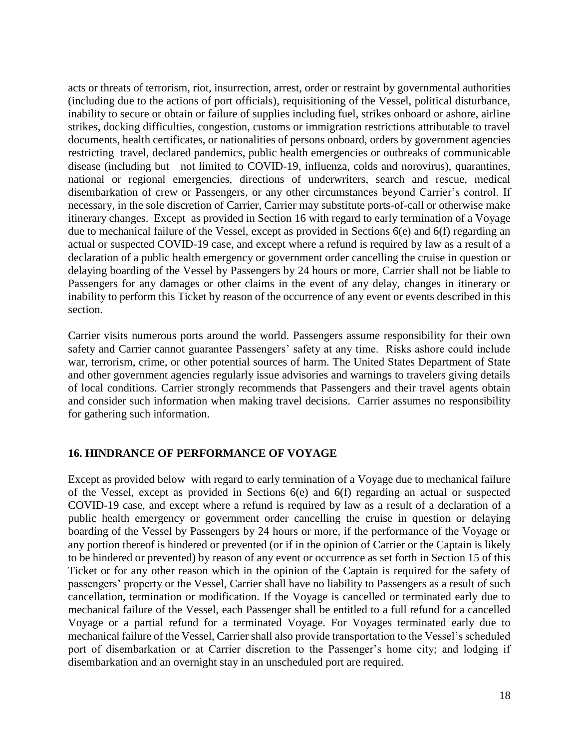acts or threats of terrorism, riot, insurrection, arrest, order or restraint by governmental authorities (including due to the actions of port officials), requisitioning of the Vessel, political disturbance, inability to secure or obtain or failure of supplies including fuel, strikes onboard or ashore, airline strikes, docking difficulties, congestion, customs or immigration restrictions attributable to travel documents, health certificates, or nationalities of persons onboard, orders by government agencies restricting travel, declared pandemics, public health emergencies or outbreaks of communicable disease (including but not limited to COVID-19, influenza, colds and norovirus), quarantines, national or regional emergencies, directions of underwriters, search and rescue, medical disembarkation of crew or Passengers, or any other circumstances beyond Carrier's control. If necessary, in the sole discretion of Carrier, Carrier may substitute ports-of-call or otherwise make itinerary changes. Except as provided in Section 16 with regard to early termination of a Voyage due to mechanical failure of the Vessel, except as provided in Sections 6(e) and 6(f) regarding an actual or suspected COVID-19 case, and except where a refund is required by law as a result of a declaration of a public health emergency or government order cancelling the cruise in question or delaying boarding of the Vessel by Passengers by 24 hours or more, Carrier shall not be liable to Passengers for any damages or other claims in the event of any delay, changes in itinerary or inability to perform this Ticket by reason of the occurrence of any event or events described in this section.

Carrier visits numerous ports around the world. Passengers assume responsibility for their own safety and Carrier cannot guarantee Passengers' safety at any time. Risks ashore could include war, terrorism, crime, or other potential sources of harm. The United States Department of State and other government agencies regularly issue advisories and warnings to travelers giving details of local conditions. Carrier strongly recommends that Passengers and their travel agents obtain and consider such information when making travel decisions. Carrier assumes no responsibility for gathering such information.

## **16. HINDRANCE OF PERFORMANCE OF VOYAGE**

Except as provided below with regard to early termination of a Voyage due to mechanical failure of the Vessel, except as provided in Sections 6(e) and 6(f) regarding an actual or suspected COVID-19 case, and except where a refund is required by law as a result of a declaration of a public health emergency or government order cancelling the cruise in question or delaying boarding of the Vessel by Passengers by 24 hours or more, if the performance of the Voyage or any portion thereof is hindered or prevented (or if in the opinion of Carrier or the Captain is likely to be hindered or prevented) by reason of any event or occurrence as set forth in Section 15 of this Ticket or for any other reason which in the opinion of the Captain is required for the safety of passengers' property or the Vessel, Carrier shall have no liability to Passengers as a result of such cancellation, termination or modification. If the Voyage is cancelled or terminated early due to mechanical failure of the Vessel, each Passenger shall be entitled to a full refund for a cancelled Voyage or a partial refund for a terminated Voyage. For Voyages terminated early due to mechanical failure of the Vessel, Carrier shall also provide transportation to the Vessel's scheduled port of disembarkation or at Carrier discretion to the Passenger's home city; and lodging if disembarkation and an overnight stay in an unscheduled port are required.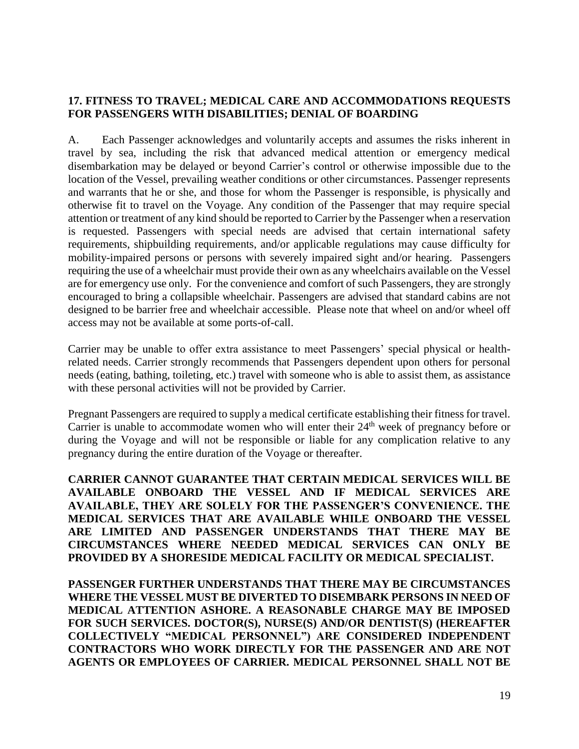## **17. FITNESS TO TRAVEL; MEDICAL CARE AND ACCOMMODATIONS REQUESTS FOR PASSENGERS WITH DISABILITIES; DENIAL OF BOARDING**

A. Each Passenger acknowledges and voluntarily accepts and assumes the risks inherent in travel by sea, including the risk that advanced medical attention or emergency medical disembarkation may be delayed or beyond Carrier's control or otherwise impossible due to the location of the Vessel, prevailing weather conditions or other circumstances. Passenger represents and warrants that he or she, and those for whom the Passenger is responsible, is physically and otherwise fit to travel on the Voyage. Any condition of the Passenger that may require special attention or treatment of any kind should be reported to Carrier by the Passenger when a reservation is requested. Passengers with special needs are advised that certain international safety requirements, shipbuilding requirements, and/or applicable regulations may cause difficulty for mobility-impaired persons or persons with severely impaired sight and/or hearing. Passengers requiring the use of a wheelchair must provide their own as any wheelchairs available on the Vessel are for emergency use only. For the convenience and comfort of such Passengers, they are strongly encouraged to bring a collapsible wheelchair. Passengers are advised that standard cabins are not designed to be barrier free and wheelchair accessible. Please note that wheel on and/or wheel off access may not be available at some ports-of-call.

Carrier may be unable to offer extra assistance to meet Passengers' special physical or healthrelated needs. Carrier strongly recommends that Passengers dependent upon others for personal needs (eating, bathing, toileting, etc.) travel with someone who is able to assist them, as assistance with these personal activities will not be provided by Carrier.

Pregnant Passengers are required to supply a medical certificate establishing their fitness for travel. Carrier is unable to accommodate women who will enter their  $24<sup>th</sup>$  week of pregnancy before or during the Voyage and will not be responsible or liable for any complication relative to any pregnancy during the entire duration of the Voyage or thereafter.

**CARRIER CANNOT GUARANTEE THAT CERTAIN MEDICAL SERVICES WILL BE AVAILABLE ONBOARD THE VESSEL AND IF MEDICAL SERVICES ARE AVAILABLE, THEY ARE SOLELY FOR THE PASSENGER'S CONVENIENCE. THE MEDICAL SERVICES THAT ARE AVAILABLE WHILE ONBOARD THE VESSEL ARE LIMITED AND PASSENGER UNDERSTANDS THAT THERE MAY BE CIRCUMSTANCES WHERE NEEDED MEDICAL SERVICES CAN ONLY BE PROVIDED BY A SHORESIDE MEDICAL FACILITY OR MEDICAL SPECIALIST.**

**PASSENGER FURTHER UNDERSTANDS THAT THERE MAY BE CIRCUMSTANCES WHERE THE VESSEL MUST BE DIVERTED TO DISEMBARK PERSONS IN NEED OF MEDICAL ATTENTION ASHORE. A REASONABLE CHARGE MAY BE IMPOSED FOR SUCH SERVICES. DOCTOR(S), NURSE(S) AND/OR DENTIST(S) (HEREAFTER COLLECTIVELY "MEDICAL PERSONNEL") ARE CONSIDERED INDEPENDENT CONTRACTORS WHO WORK DIRECTLY FOR THE PASSENGER AND ARE NOT AGENTS OR EMPLOYEES OF CARRIER. MEDICAL PERSONNEL SHALL NOT BE**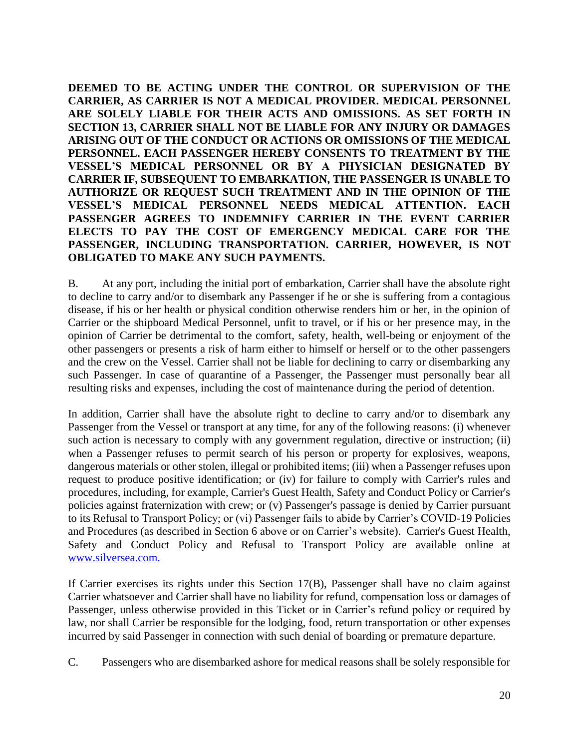**DEEMED TO BE ACTING UNDER THE CONTROL OR SUPERVISION OF THE CARRIER, AS CARRIER IS NOT A MEDICAL PROVIDER. MEDICAL PERSONNEL ARE SOLELY LIABLE FOR THEIR ACTS AND OMISSIONS. AS SET FORTH IN SECTION 13, CARRIER SHALL NOT BE LIABLE FOR ANY INJURY OR DAMAGES ARISING OUT OF THE CONDUCT OR ACTIONS OR OMISSIONS OF THE MEDICAL PERSONNEL. EACH PASSENGER HEREBY CONSENTS TO TREATMENT BY THE VESSEL'S MEDICAL PERSONNEL OR BY A PHYSICIAN DESIGNATED BY CARRIER IF, SUBSEQUENT TO EMBARKATION, THE PASSENGER IS UNABLE TO AUTHORIZE OR REQUEST SUCH TREATMENT AND IN THE OPINION OF THE VESSEL'S MEDICAL PERSONNEL NEEDS MEDICAL ATTENTION. EACH PASSENGER AGREES TO INDEMNIFY CARRIER IN THE EVENT CARRIER ELECTS TO PAY THE COST OF EMERGENCY MEDICAL CARE FOR THE PASSENGER, INCLUDING TRANSPORTATION. CARRIER, HOWEVER, IS NOT OBLIGATED TO MAKE ANY SUCH PAYMENTS.**

B. At any port, including the initial port of embarkation, Carrier shall have the absolute right to decline to carry and/or to disembark any Passenger if he or she is suffering from a contagious disease, if his or her health or physical condition otherwise renders him or her, in the opinion of Carrier or the shipboard Medical Personnel, unfit to travel, or if his or her presence may, in the opinion of Carrier be detrimental to the comfort, safety, health, well-being or enjoyment of the other passengers or presents a risk of harm either to himself or herself or to the other passengers and the crew on the Vessel. Carrier shall not be liable for declining to carry or disembarking any such Passenger. In case of quarantine of a Passenger, the Passenger must personally bear all resulting risks and expenses, including the cost of maintenance during the period of detention.

In addition, Carrier shall have the absolute right to decline to carry and/or to disembark any Passenger from the Vessel or transport at any time, for any of the following reasons: (i) whenever such action is necessary to comply with any government regulation, directive or instruction; (ii) when a Passenger refuses to permit search of his person or property for explosives, weapons, dangerous materials or other stolen, illegal or prohibited items; (iii) when a Passenger refuses upon request to produce positive identification; or (iv) for failure to comply with Carrier's rules and procedures, including, for example, Carrier's Guest Health, Safety and Conduct Policy or Carrier's policies against fraternization with crew; or (v) Passenger's passage is denied by Carrier pursuant to its Refusal to Transport Policy; or (vi) Passenger fails to abide by Carrier's COVID-19 Policies and Procedures (as described in Section 6 above or on Carrier's website). Carrier's Guest Health, Safety and Conduct Policy and Refusal to Transport Policy are available online at [www.silversea.com.](http://www.silversea.com/)

If Carrier exercises its rights under this Section 17(B), Passenger shall have no claim against Carrier whatsoever and Carrier shall have no liability for refund, compensation loss or damages of Passenger, unless otherwise provided in this Ticket or in Carrier's refund policy or required by law, nor shall Carrier be responsible for the lodging, food, return transportation or other expenses incurred by said Passenger in connection with such denial of boarding or premature departure.

C. Passengers who are disembarked ashore for medical reasons shall be solely responsible for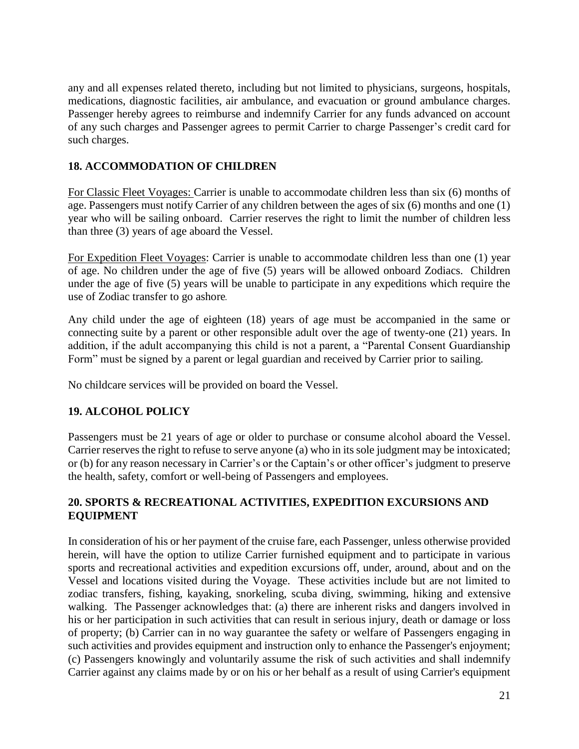any and all expenses related thereto, including but not limited to physicians, surgeons, hospitals, medications, diagnostic facilities, air ambulance, and evacuation or ground ambulance charges. Passenger hereby agrees to reimburse and indemnify Carrier for any funds advanced on account of any such charges and Passenger agrees to permit Carrier to charge Passenger's credit card for such charges.

## **18. ACCOMMODATION OF CHILDREN**

For Classic Fleet Voyages: Carrier is unable to accommodate children less than six (6) months of age. Passengers must notify Carrier of any children between the ages of six (6) months and one (1) year who will be sailing onboard. Carrier reserves the right to limit the number of children less than three (3) years of age aboard the Vessel.

For Expedition Fleet Voyages: Carrier is unable to accommodate children less than one (1) year of age. No children under the age of five (5) years will be allowed onboard Zodiacs. Children under the age of five (5) years will be unable to participate in any expeditions which require the use of Zodiac transfer to go ashore.

Any child under the age of eighteen (18) years of age must be accompanied in the same or connecting suite by a parent or other responsible adult over the age of twenty-one (21) years. In addition, if the adult accompanying this child is not a parent, a "Parental Consent Guardianship Form" must be signed by a parent or legal guardian and received by Carrier prior to sailing.

No childcare services will be provided on board the Vessel.

# **19. ALCOHOL POLICY**

Passengers must be 21 years of age or older to purchase or consume alcohol aboard the Vessel. Carrier reserves the right to refuse to serve anyone (a) who in its sole judgment may be intoxicated; or (b) for any reason necessary in Carrier's or the Captain's or other officer's judgment to preserve the health, safety, comfort or well-being of Passengers and employees.

## **20. SPORTS & RECREATIONAL ACTIVITIES, EXPEDITION EXCURSIONS AND EQUIPMENT**

In consideration of his or her payment of the cruise fare, each Passenger, unless otherwise provided herein, will have the option to utilize Carrier furnished equipment and to participate in various sports and recreational activities and expedition excursions off, under, around, about and on the Vessel and locations visited during the Voyage. These activities include but are not limited to zodiac transfers, fishing, kayaking, snorkeling, scuba diving, swimming, hiking and extensive walking. The Passenger acknowledges that: (a) there are inherent risks and dangers involved in his or her participation in such activities that can result in serious injury, death or damage or loss of property; (b) Carrier can in no way guarantee the safety or welfare of Passengers engaging in such activities and provides equipment and instruction only to enhance the Passenger's enjoyment; (c) Passengers knowingly and voluntarily assume the risk of such activities and shall indemnify Carrier against any claims made by or on his or her behalf as a result of using Carrier's equipment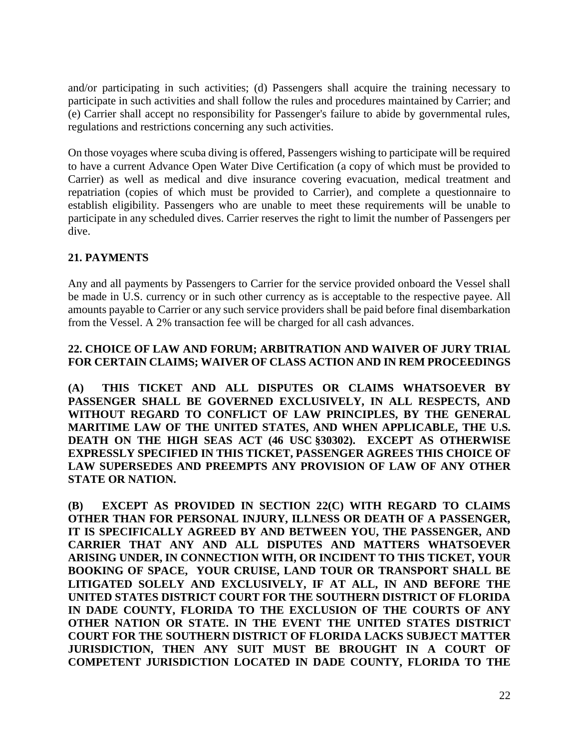and/or participating in such activities; (d) Passengers shall acquire the training necessary to participate in such activities and shall follow the rules and procedures maintained by Carrier; and (e) Carrier shall accept no responsibility for Passenger's failure to abide by governmental rules, regulations and restrictions concerning any such activities.

On those voyages where scuba diving is offered, Passengers wishing to participate will be required to have a current Advance Open Water Dive Certification (a copy of which must be provided to Carrier) as well as medical and dive insurance covering evacuation, medical treatment and repatriation (copies of which must be provided to Carrier), and complete a questionnaire to establish eligibility. Passengers who are unable to meet these requirements will be unable to participate in any scheduled dives. Carrier reserves the right to limit the number of Passengers per dive.

# **21. PAYMENTS**

Any and all payments by Passengers to Carrier for the service provided onboard the Vessel shall be made in U.S. currency or in such other currency as is acceptable to the respective payee. All amounts payable to Carrier or any such service providers shall be paid before final disembarkation from the Vessel. A 2% transaction fee will be charged for all cash advances.

## **22. CHOICE OF LAW AND FORUM; ARBITRATION AND WAIVER OF JURY TRIAL FOR CERTAIN CLAIMS; WAIVER OF CLASS ACTION AND IN REM PROCEEDINGS**

**(A) THIS TICKET AND ALL DISPUTES OR CLAIMS WHATSOEVER BY PASSENGER SHALL BE GOVERNED EXCLUSIVELY, IN ALL RESPECTS, AND WITHOUT REGARD TO CONFLICT OF LAW PRINCIPLES, BY THE GENERAL MARITIME LAW OF THE UNITED STATES, AND WHEN APPLICABLE, THE U.S. DEATH ON THE HIGH SEAS ACT (46 USC §30302). EXCEPT AS OTHERWISE EXPRESSLY SPECIFIED IN THIS TICKET, PASSENGER AGREES THIS CHOICE OF LAW SUPERSEDES AND PREEMPTS ANY PROVISION OF LAW OF ANY OTHER STATE OR NATION.**

**(B) EXCEPT AS PROVIDED IN SECTION 22(C) WITH REGARD TO CLAIMS OTHER THAN FOR PERSONAL INJURY, ILLNESS OR DEATH OF A PASSENGER, IT IS SPECIFICALLY AGREED BY AND BETWEEN YOU, THE PASSENGER, AND CARRIER THAT ANY AND ALL DISPUTES AND MATTERS WHATSOEVER ARISING UNDER, IN CONNECTION WITH, OR INCIDENT TO THIS TICKET, YOUR BOOKING OF SPACE, YOUR CRUISE, LAND TOUR OR TRANSPORT SHALL BE LITIGATED SOLELY AND EXCLUSIVELY, IF AT ALL, IN AND BEFORE THE UNITED STATES DISTRICT COURT FOR THE SOUTHERN DISTRICT OF FLORIDA IN DADE COUNTY, FLORIDA TO THE EXCLUSION OF THE COURTS OF ANY OTHER NATION OR STATE. IN THE EVENT THE UNITED STATES DISTRICT COURT FOR THE SOUTHERN DISTRICT OF FLORIDA LACKS SUBJECT MATTER JURISDICTION, THEN ANY SUIT MUST BE BROUGHT IN A COURT OF COMPETENT JURISDICTION LOCATED IN DADE COUNTY, FLORIDA TO THE**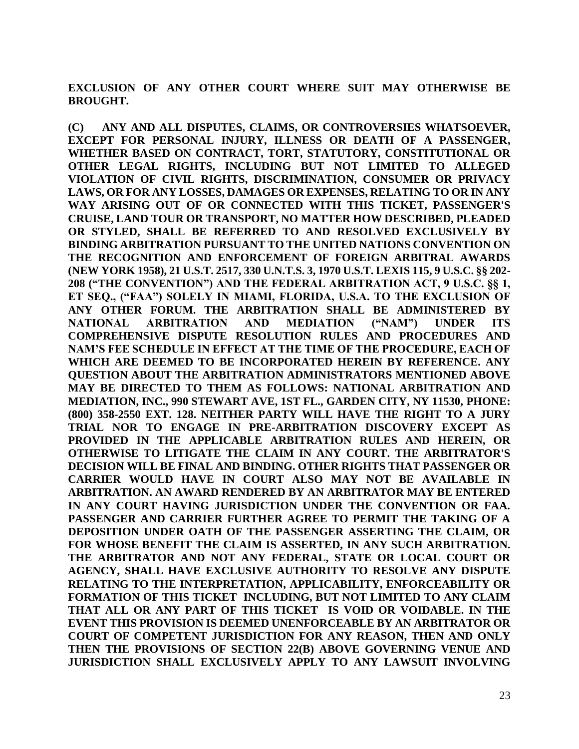**EXCLUSION OF ANY OTHER COURT WHERE SUIT MAY OTHERWISE BE BROUGHT.** 

**(C) ANY AND ALL DISPUTES, CLAIMS, OR CONTROVERSIES WHATSOEVER, EXCEPT FOR PERSONAL INJURY, ILLNESS OR DEATH OF A PASSENGER, WHETHER BASED ON CONTRACT, TORT, STATUTORY, CONSTITUTIONAL OR OTHER LEGAL RIGHTS, INCLUDING BUT NOT LIMITED TO ALLEGED VIOLATION OF CIVIL RIGHTS, DISCRIMINATION, CONSUMER OR PRIVACY LAWS, OR FOR ANY LOSSES, DAMAGES OR EXPENSES, RELATING TO OR IN ANY WAY ARISING OUT OF OR CONNECTED WITH THIS TICKET, PASSENGER'S CRUISE, LAND TOUR OR TRANSPORT, NO MATTER HOW DESCRIBED, PLEADED OR STYLED, SHALL BE REFERRED TO AND RESOLVED EXCLUSIVELY BY BINDING ARBITRATION PURSUANT TO THE UNITED NATIONS CONVENTION ON THE RECOGNITION AND ENFORCEMENT OF FOREIGN ARBITRAL AWARDS (NEW YORK 1958), 21 U.S.T. 2517, 330 U.N.T.S. 3, 1970 U.S.T. LEXIS 115, 9 U.S.C. §§ 202- 208 ("THE CONVENTION") AND THE FEDERAL ARBITRATION ACT, 9 U.S.C. §§ 1, ET SEQ., ("FAA") SOLELY IN MIAMI, FLORIDA, U.S.A. TO THE EXCLUSION OF ANY OTHER FORUM. THE ARBITRATION SHALL BE ADMINISTERED BY NATIONAL ARBITRATION AND MEDIATION ("NAM") UNDER ITS COMPREHENSIVE DISPUTE RESOLUTION RULES AND PROCEDURES AND NAM'S FEE SCHEDULE IN EFFECT AT THE TIME OF THE PROCEDURE, EACH OF WHICH ARE DEEMED TO BE INCORPORATED HEREIN BY REFERENCE. ANY QUESTION ABOUT THE ARBITRATION ADMINISTRATORS MENTIONED ABOVE MAY BE DIRECTED TO THEM AS FOLLOWS: NATIONAL ARBITRATION AND MEDIATION, INC., 990 STEWART AVE, 1ST FL., GARDEN CITY, NY 11530, PHONE: (800) 358-2550 EXT. 128. NEITHER PARTY WILL HAVE THE RIGHT TO A JURY TRIAL NOR TO ENGAGE IN PRE-ARBITRATION DISCOVERY EXCEPT AS PROVIDED IN THE APPLICABLE ARBITRATION RULES AND HEREIN, OR OTHERWISE TO LITIGATE THE CLAIM IN ANY COURT. THE ARBITRATOR'S DECISION WILL BE FINAL AND BINDING. OTHER RIGHTS THAT PASSENGER OR CARRIER WOULD HAVE IN COURT ALSO MAY NOT BE AVAILABLE IN ARBITRATION. AN AWARD RENDERED BY AN ARBITRATOR MAY BE ENTERED IN ANY COURT HAVING JURISDICTION UNDER THE CONVENTION OR FAA. PASSENGER AND CARRIER FURTHER AGREE TO PERMIT THE TAKING OF A DEPOSITION UNDER OATH OF THE PASSENGER ASSERTING THE CLAIM, OR FOR WHOSE BENEFIT THE CLAIM IS ASSERTED, IN ANY SUCH ARBITRATION. THE ARBITRATOR AND NOT ANY FEDERAL, STATE OR LOCAL COURT OR AGENCY, SHALL HAVE EXCLUSIVE AUTHORITY TO RESOLVE ANY DISPUTE RELATING TO THE INTERPRETATION, APPLICABILITY, ENFORCEABILITY OR FORMATION OF THIS TICKET INCLUDING, BUT NOT LIMITED TO ANY CLAIM THAT ALL OR ANY PART OF THIS TICKET IS VOID OR VOIDABLE. IN THE EVENT THIS PROVISION IS DEEMED UNENFORCEABLE BY AN ARBITRATOR OR COURT OF COMPETENT JURISDICTION FOR ANY REASON, THEN AND ONLY THEN THE PROVISIONS OF SECTION 22(B) ABOVE GOVERNING VENUE AND JURISDICTION SHALL EXCLUSIVELY APPLY TO ANY LAWSUIT INVOLVING**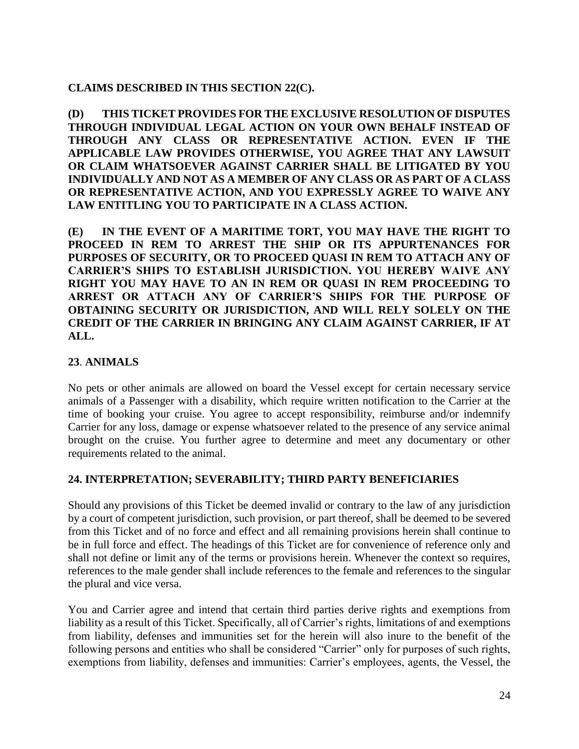## **CLAIMS DESCRIBED IN THIS SECTION 22(C).**

**(D) THIS TICKET PROVIDES FOR THE EXCLUSIVE RESOLUTION OF DISPUTES THROUGH INDIVIDUAL LEGAL ACTION ON YOUR OWN BEHALF INSTEAD OF THROUGH ANY CLASS OR REPRESENTATIVE ACTION. EVEN IF THE APPLICABLE LAW PROVIDES OTHERWISE, YOU AGREE THAT ANY LAWSUIT OR CLAIM WHATSOEVER AGAINST CARRIER SHALL BE LITIGATED BY YOU INDIVIDUALLY AND NOT AS A MEMBER OF ANY CLASS OR AS PART OF A CLASS OR REPRESENTATIVE ACTION, AND YOU EXPRESSLY AGREE TO WAIVE ANY LAW ENTITLING YOU TO PARTICIPATE IN A CLASS ACTION.**

**(E) IN THE EVENT OF A MARITIME TORT, YOU MAY HAVE THE RIGHT TO PROCEED IN REM TO ARREST THE SHIP OR ITS APPURTENANCES FOR PURPOSES OF SECURITY, OR TO PROCEED QUASI IN REM TO ATTACH ANY OF CARRIER'S SHIPS TO ESTABLISH JURISDICTION. YOU HEREBY WAIVE ANY RIGHT YOU MAY HAVE TO AN IN REM OR QUASI IN REM PROCEEDING TO ARREST OR ATTACH ANY OF CARRIER'S SHIPS FOR THE PURPOSE OF OBTAINING SECURITY OR JURISDICTION, AND WILL RELY SOLELY ON THE CREDIT OF THE CARRIER IN BRINGING ANY CLAIM AGAINST CARRIER, IF AT ALL.**

## **23**. **ANIMALS**

No pets or other animals are allowed on board the Vessel except for certain necessary service animals of a Passenger with a disability, which require written notification to the Carrier at the time of booking your cruise. You agree to accept responsibility, reimburse and/or indemnify Carrier for any loss, damage or expense whatsoever related to the presence of any service animal brought on the cruise. You further agree to determine and meet any documentary or other requirements related to the animal.

## **24. INTERPRETATION; SEVERABILITY; THIRD PARTY BENEFICIARIES**

Should any provisions of this Ticket be deemed invalid or contrary to the law of any jurisdiction by a court of competent jurisdiction, such provision, or part thereof, shall be deemed to be severed from this Ticket and of no force and effect and all remaining provisions herein shall continue to be in full force and effect. The headings of this Ticket are for convenience of reference only and shall not define or limit any of the terms or provisions herein. Whenever the context so requires, references to the male gender shall include references to the female and references to the singular the plural and vice versa.

You and Carrier agree and intend that certain third parties derive rights and exemptions from liability as a result of this Ticket. Specifically, all of Carrier's rights, limitations of and exemptions from liability, defenses and immunities set for the herein will also inure to the benefit of the following persons and entities who shall be considered "Carrier" only for purposes of such rights, exemptions from liability, defenses and immunities: Carrier's employees, agents, the Vessel, the